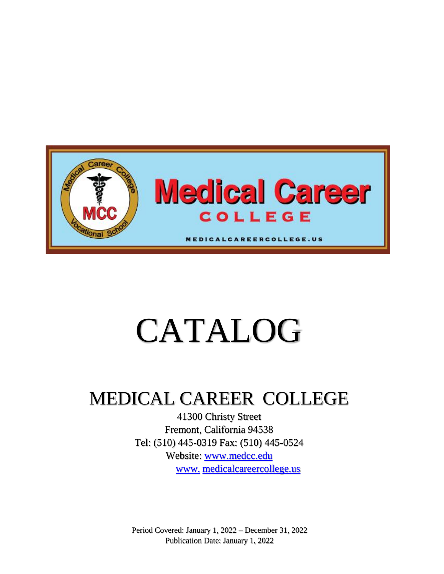

# CATALOG

# MEDICAL CAREER COLLEGE

41300 Christy Street Fremont, California 94538 Tel: (510) 445-0319 Fax: (510) 445-0524 Website: www.medcc.edu www. medicalcareercollege.us

Period Covered: January 1, 2022 – December 31, 2022 Publication Date: January 1, 2022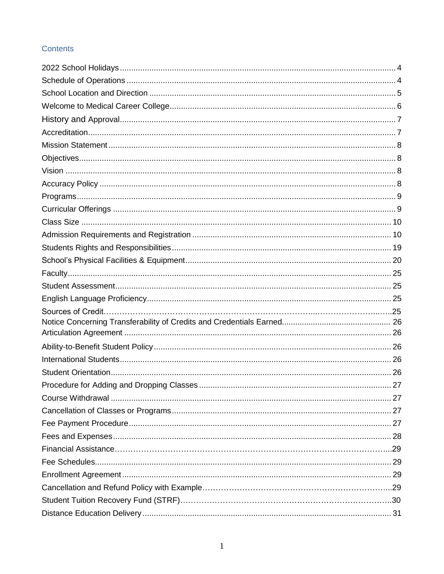# Contents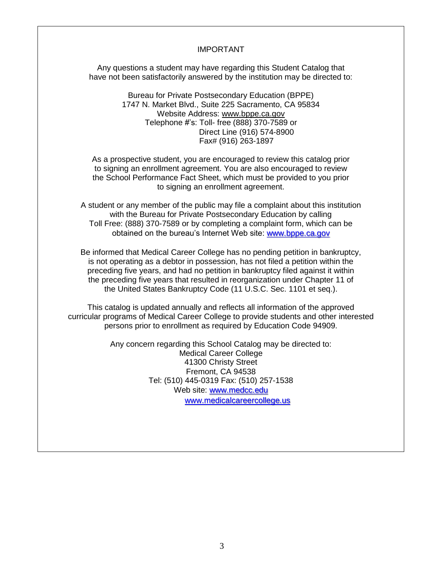#### IMPORTANT

Any questions a student may have regarding this Student Catalog that have not been satisfactorily answered by the institution may be directed to:

> Bureau for Private Postsecondary Education (BPPE) 1747 N. Market Blvd., Suite 225 Sacramento, CA 95834 Website Address: www.bppe.ca.gov Telephone #'s: Toll- free (888) 370-7589 or Direct Line (916) 574-8900 Fax# (916) 263-1897

As a prospective student, you are encouraged to review this catalog prior to signing an enrollment agreement. You are also encouraged to review the School Performance Fact Sheet, which must be provided to you prior to signing an enrollment agreement.

A student or any member of the public may file a complaint about this institution with the Bureau for Private Postsecondary Education by calling Toll Free: (888) 370-7589 or by completing a complaint form, which can be obtained on the bureau's Internet Web site: [www.bppe.ca.gov](http://www.bppe.ca.gov/)

Be informed that Medical Career College has no pending petition in bankruptcy, is not operating as a debtor in possession, has not filed a petition within the preceding five years, and had no petition in bankruptcy filed against it within the preceding five years that resulted in reorganization under Chapter 11 of the United States Bankruptcy Code (11 U.S.C. Sec. 1101 et seq.).

This catalog is updated annually and reflects all information of the approved curricular programs of Medical Career College to provide students and other interested persons prior to enrollment as required by Education Code 94909.

> Any concern regarding this School Catalog may be directed to: Medical Career College 41300 Christy Street Fremont, CA 94538 Tel: (510) 445-0319 Fax: (510) 257-1538 Web site: [www.medcc.edu](http://www.medcc.edu/) www.medicalcareercollege.us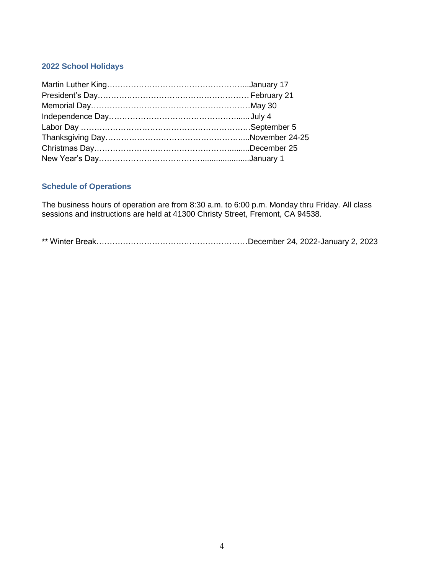# <span id="page-4-0"></span>**2022 School Holidays**

# <span id="page-4-1"></span>**Schedule of Operations**

The business hours of operation are from 8:30 a.m. to 6:00 p.m. Monday thru Friday. All class sessions and instructions are held at 41300 Christy Street, Fremont, CA 94538.

\*\* Winter Break…………………………………………………December 24, 2022-January 2, 2023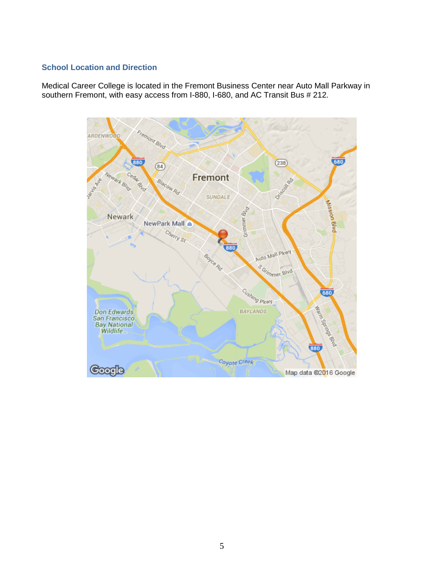# <span id="page-5-0"></span>**School Location and Direction**

Medical Career College is located in the Fremont Business Center near Auto Mall Parkway in southern Fremont, with easy access from I-880, I-680, and AC Transit Bus # 212.

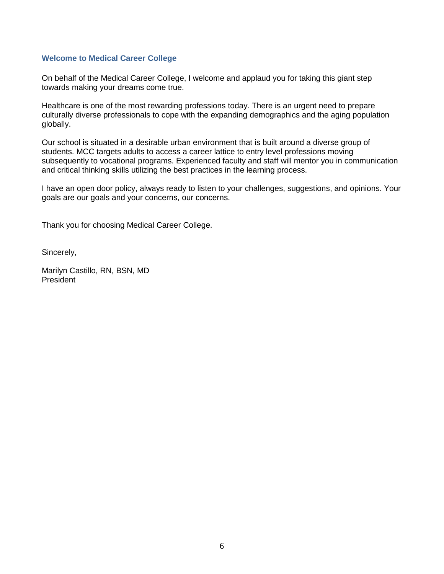#### <span id="page-6-0"></span>**Welcome to Medical Career College**

On behalf of the Medical Career College, I welcome and applaud you for taking this giant step towards making your dreams come true.

Healthcare is one of the most rewarding professions today. There is an urgent need to prepare culturally diverse professionals to cope with the expanding demographics and the aging population globally.

Our school is situated in a desirable urban environment that is built around a diverse group of students. MCC targets adults to access a career lattice to entry level professions moving subsequently to vocational programs. Experienced faculty and staff will mentor you in communication and critical thinking skills utilizing the best practices in the learning process.

I have an open door policy, always ready to listen to your challenges, suggestions, and opinions. Your goals are our goals and your concerns, our concerns.

Thank you for choosing Medical Career College.

Sincerely,

Marilyn Castillo, RN, BSN, MD President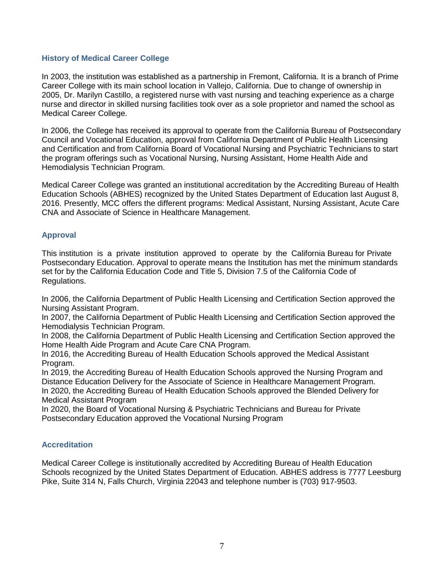#### **History of Medical Career College**

In 2003, the institution was established as a partnership in Fremont, California. It is a branch of Prime Career College with its main school location in Vallejo, California. Due to change of ownership in 2005, Dr. Marilyn Castillo, a registered nurse with vast nursing and teaching experience as a charge nurse and director in skilled nursing facilities took over as a sole proprietor and named the school as Medical Career College.

In 2006, the College has received its approval to operate from the California Bureau of Postsecondary Council and Vocational Education, approval from California Department of Public Health Licensing and Certification and from California Board of Vocational Nursing and Psychiatric Technicians to start the program offerings such as Vocational Nursing, Nursing Assistant, Home Health Aide and Hemodialysis Technician Program.

Medical Career College was granted an institutional accreditation by the Accrediting Bureau of Health Education Schools (ABHES) recognized by the United States Department of Education last August 8, 2016. Presently, MCC offers the different programs: Medical Assistant, Nursing Assistant, Acute Care CNA and Associate of Science in Healthcare Management.

#### <span id="page-7-0"></span>**Approval**

This institution is a private institution approved to operate by the California Bureau for Private Postsecondary Education. Approval to operate means the Institution has met the minimum standards set for by the California Education Code and Title 5, Division 7.5 of the California Code of Regulations.

In 2006, the California Department of Public Health Licensing and Certification Section approved the Nursing Assistant Program.

In 2007, the California Department of Public Health Licensing and Certification Section approved the Hemodialysis Technician Program.

In 2008, the California Department of Public Health Licensing and Certification Section approved the Home Health Aide Program and Acute Care CNA Program.

In 2016, the Accrediting Bureau of Health Education Schools approved the Medical Assistant Program.

In 2019, the Accrediting Bureau of Health Education Schools approved the Nursing Program and Distance Education Delivery for the Associate of Science in Healthcare Management Program. In 2020, the Accrediting Bureau of Health Education Schools approved the Blended Delivery for Medical Assistant Program

In 2020, the Board of Vocational Nursing & Psychiatric Technicians and Bureau for Private Postsecondary Education approved the Vocational Nursing Program

#### <span id="page-7-1"></span>**Accreditation**

<span id="page-7-2"></span>Medical Career College is institutionally accredited by Accrediting Bureau of Health Education Schools recognized by the United States Department of Education. ABHES address is 7777 Leesburg Pike, Suite 314 N, Falls Church, Virginia 22043 and telephone number is (703) 917-9503.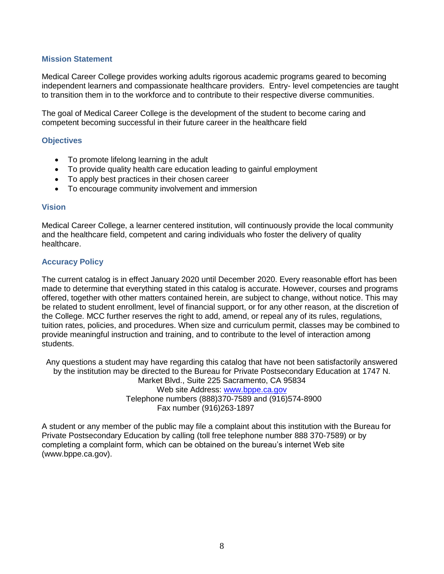#### **Mission Statement**

Medical Career College provides working adults rigorous academic programs geared to becoming independent learners and compassionate healthcare providers. Entry- level competencies are taught to transition them in to the workforce and to contribute to their respective diverse communities.

The goal of Medical Career College is the development of the student to become caring and competent becoming successful in their future career in the healthcare field

#### <span id="page-8-0"></span>**Objectives**

- To promote lifelong learning in the adult
- To provide quality health care education leading to gainful employment
- To apply best practices in their chosen career
- To encourage community involvement and immersion

#### <span id="page-8-1"></span>**Vision**

Medical Career College, a learner centered institution, will continuously provide the local community and the healthcare field, competent and caring individuals who foster the delivery of quality healthcare.

#### <span id="page-8-2"></span>**Accuracy Policy**

The current catalog is in effect January 2020 until December 2020. Every reasonable effort has been made to determine that everything stated in this catalog is accurate. However, courses and programs offered, together with other matters contained herein, are subject to change, without notice. This may be related to student enrollment, level of financial support, or for any other reason, at the discretion of the College. MCC further reserves the right to add, amend, or repeal any of its rules, regulations, tuition rates, policies, and procedures. When size and curriculum permit, classes may be combined to provide meaningful instruction and training, and to contribute to the level of interaction among students.

Any questions a student may have regarding this catalog that have not been satisfactorily answered by the institution may be directed to the Bureau for Private Postsecondary Education at 1747 N. Market Blvd., Suite 225 Sacramento, CA 95834 Web site Address: [www.bppe.ca.gov](http://www.bppe.ca.gov/) Telephone numbers (888)370-7589 and (916)574-8900 Fax number (916)263-1897

A student or any member of the public may file a complaint about this institution with the Bureau for Private Postsecondary Education by calling (toll free telephone number 888 370-7589) or by completing a complaint form, which can be obtained on the bureau's internet Web site (www.bppe.ca.gov).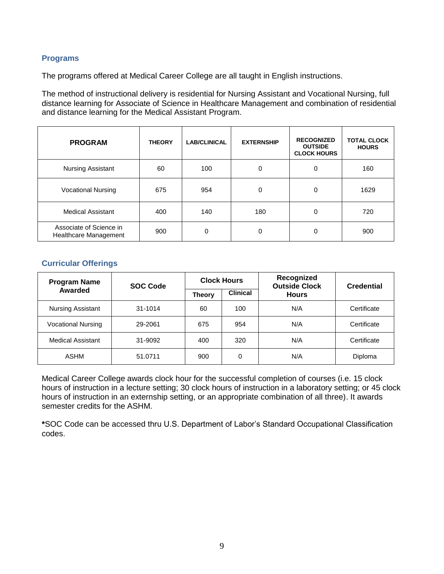#### <span id="page-9-0"></span>**Programs**

The programs offered at Medical Career College are all taught in English instructions.

The method of instructional delivery is residential for Nursing Assistant and Vocational Nursing, full distance learning for Associate of Science in Healthcare Management and combination of residential and distance learning for the Medical Assistant Program.

| <b>PROGRAM</b>                                   | <b>THEORY</b> | <b>LAB/CLINICAL</b> | <b>EXTERNSHIP</b> | <b>RECOGNIZED</b><br><b>OUTSIDE</b><br><b>CLOCK HOURS</b> | <b>TOTAL CLOCK</b><br><b>HOURS</b> |
|--------------------------------------------------|---------------|---------------------|-------------------|-----------------------------------------------------------|------------------------------------|
| <b>Nursing Assistant</b>                         | 60            | 100                 | 0                 | 0                                                         | 160                                |
| <b>Vocational Nursing</b>                        | 675           | 954                 | 0                 | 0                                                         | 1629                               |
| <b>Medical Assistant</b>                         | 400           | 140                 | 180               | 0                                                         | 720                                |
| Associate of Science in<br>Healthcare Management | 900           | 0                   | 0                 | 0                                                         | 900                                |

#### <span id="page-9-1"></span>**Curricular Offerings**

| <b>Program Name</b>       | <b>SOC Code</b> | <b>Clock Hours</b> |                 | Recognized<br><b>Outside Clock</b> | <b>Credential</b> |
|---------------------------|-----------------|--------------------|-----------------|------------------------------------|-------------------|
| Awarded                   |                 | <b>Theory</b>      | <b>Clinical</b> | <b>Hours</b>                       |                   |
| Nursing Assistant         | 31-1014         | 60                 | 100             | N/A                                | Certificate       |
| <b>Vocational Nursing</b> | 29-2061         | 675                | 954             | N/A                                | Certificate       |
| <b>Medical Assistant</b>  | 31-9092         | 400                | 320             | N/A                                | Certificate       |
| ASHM                      | 51.0711         | 900                | 0               | N/A                                | Diploma           |

Medical Career College awards clock hour for the successful completion of courses (i.e. 15 clock hours of instruction in a lecture setting; 30 clock hours of instruction in a laboratory setting; or 45 clock hours of instruction in an externship setting, or an appropriate combination of all three). It awards semester credits for the ASHM.

**\***SOC Code can be accessed thru U.S. Department of Labor's Standard Occupational Classification codes.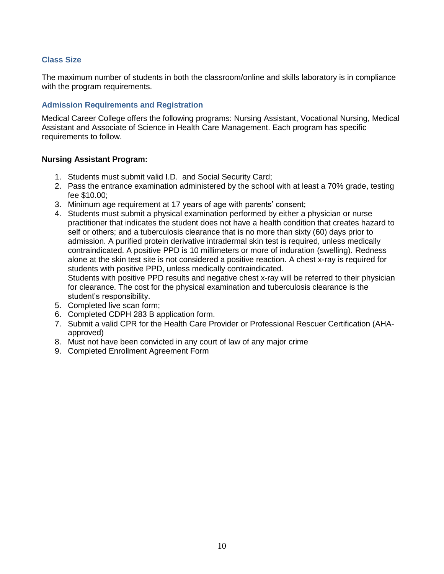#### **Class Size**

The maximum number of students in both the classroom/online and skills laboratory is in compliance with the program requirements.

#### **Admission Requirements and Registration**

Medical Career College offers the following programs: Nursing Assistant, Vocational Nursing, Medical Assistant and Associate of Science in Health Care Management. Each program has specific requirements to follow.

#### **Nursing Assistant Program:**

- 1. Students must submit valid I.D. and Social Security Card;
- 2. Pass the entrance examination administered by the school with at least a 70% grade, testing fee \$10.00;
- 3. Minimum age requirement at 17 years of age with parents' consent;
- 4. Students must submit a physical examination performed by either a physician or nurse practitioner that indicates the student does not have a health condition that creates hazard to self or others; and a tuberculosis clearance that is no more than sixty (60) days prior to admission. A purified protein derivative intradermal skin test is required, unless medically contraindicated. A positive PPD is 10 millimeters or more of induration (swelling). Redness alone at the skin test site is not considered a positive reaction. A chest x-ray is required for students with positive PPD, unless medically contraindicated.

Students with positive PPD results and negative chest x-ray will be referred to their physician for clearance. The cost for the physical examination and tuberculosis clearance is the student's responsibility.

- 5. Completed live scan form;
- 6. Completed CDPH 283 B application form.
- 7. Submit a valid CPR for the Health Care Provider or Professional Rescuer Certification (AHAapproved)
- 8. Must not have been convicted in any court of law of any major crime
- 9. Completed Enrollment Agreement Form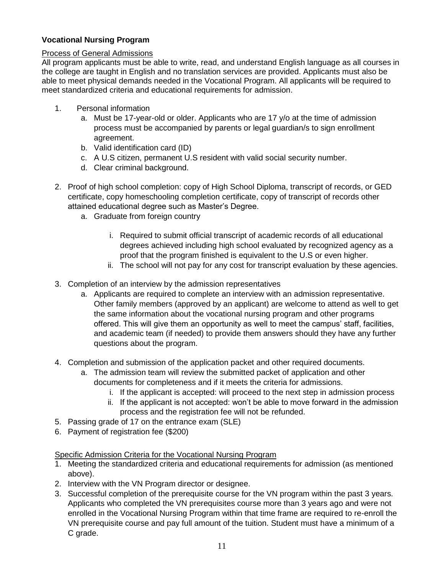# **Vocational Nursing Program**

# Process of General Admissions

All program applicants must be able to write, read, and understand English language as all courses in the college are taught in English and no translation services are provided. Applicants must also be able to meet physical demands needed in the Vocational Program. All applicants will be required to meet standardized criteria and educational requirements for admission.

- 1. Personal information
	- a. Must be 17-year-old or older. Applicants who are 17 y/o at the time of admission process must be accompanied by parents or legal guardian/s to sign enrollment agreement.
	- b. Valid identification card (ID)
	- c. A U.S citizen, permanent U.S resident with valid social security number.
	- d. Clear criminal background.
- 2. Proof of high school completion: copy of High School Diploma, transcript of records, or GED certificate, copy homeschooling completion certificate, copy of transcript of records other attained educational degree such as Master's Degree.
	- a. Graduate from foreign country
		- i. Required to submit official transcript of academic records of all educational degrees achieved including high school evaluated by recognized agency as a proof that the program finished is equivalent to the U.S or even higher.
		- ii. The school will not pay for any cost for transcript evaluation by these agencies.
- 3. Completion of an interview by the admission representatives
	- a. Applicants are required to complete an interview with an admission representative. Other family members (approved by an applicant) are welcome to attend as well to get the same information about the vocational nursing program and other programs offered. This will give them an opportunity as well to meet the campus' staff, facilities, and academic team (if needed) to provide them answers should they have any further questions about the program.
- 4. Completion and submission of the application packet and other required documents.
	- a. The admission team will review the submitted packet of application and other documents for completeness and if it meets the criteria for admissions.
		- i. If the applicant is accepted: will proceed to the next step in admission process
		- ii. If the applicant is not accepted: won't be able to move forward in the admission process and the registration fee will not be refunded.
- 5. Passing grade of 17 on the entrance exam (SLE)
- 6. Payment of registration fee (\$200)

#### Specific Admission Criteria for the Vocational Nursing Program

- 1. Meeting the standardized criteria and educational requirements for admission (as mentioned above).
- 2. Interview with the VN Program director or designee.
- 3. Successful completion of the prerequisite course for the VN program within the past 3 years. Applicants who completed the VN prerequisites course more than 3 years ago and were not enrolled in the Vocational Nursing Program within that time frame are required to re-enroll the VN prerequisite course and pay full amount of the tuition. Student must have a minimum of a C grade.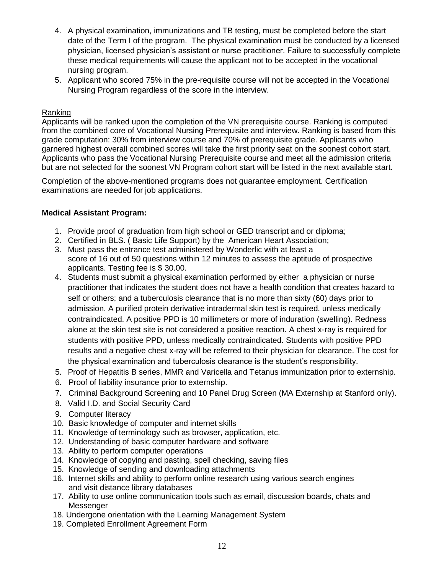- 4. A physical examination, immunizations and TB testing, must be completed before the start date of the Term I of the program. The physical examination must be conducted by a licensed physician, licensed physician's assistant or nurse practitioner. Failure to successfully complete these medical requirements will cause the applicant not to be accepted in the vocational nursing program.
- 5. Applicant who scored 75% in the pre-requisite course will not be accepted in the Vocational Nursing Program regardless of the score in the interview.

#### Ranking

Applicants will be ranked upon the completion of the VN prerequisite course. Ranking is computed from the combined core of Vocational Nursing Prerequisite and interview. Ranking is based from this grade computation: 30% from interview course and 70% of prerequisite grade. Applicants who garnered highest overall combined scores will take the first priority seat on the soonest cohort start. Applicants who pass the Vocational Nursing Prerequisite course and meet all the admission criteria but are not selected for the soonest VN Program cohort start will be listed in the next available start.

Completion of the above-mentioned programs does not guarantee employment. Certification examinations are needed for job applications.

#### **Medical Assistant Program:**

- 1. Provide proof of graduation from high school or GED transcript and or diploma;
- 2. Certified in BLS. ( Basic Life Support) by the American Heart Association;
- 3. Must pass the entrance test administered by Wonderlic with at least a score of 16 out of 50 questions within 12 minutes to assess the aptitude of prospective applicants. Testing fee is \$ 30.00.
- 4. Students must submit a physical examination performed by either a physician or nurse practitioner that indicates the student does not have a health condition that creates hazard to self or others; and a tuberculosis clearance that is no more than sixty (60) days prior to admission. A purified protein derivative intradermal skin test is required, unless medically contraindicated. A positive PPD is 10 millimeters or more of induration (swelling). Redness alone at the skin test site is not considered a positive reaction. A chest x-ray is required for students with positive PPD, unless medically contraindicated. Students with positive PPD results and a negative chest x-ray will be referred to their physician for clearance. The cost for the physical examination and tuberculosis clearance is the student's responsibility.
- 5. Proof of Hepatitis B series, MMR and Varicella and Tetanus immunization prior to externship.
- 6. Proof of liability insurance prior to externship.
- 7. Criminal Background Screening and 10 Panel Drug Screen (MA Externship at Stanford only).
- 8. Valid I.D. and Social Security Card
- 9. Computer literacy
- 10. Basic knowledge of computer and internet skills
- 11. Knowledge of terminology such as browser, application, etc.
- 12. Understanding of basic computer hardware and software
- 13. Ability to perform computer operations
- 14. Knowledge of copying and pasting, spell checking, saving files
- 15. Knowledge of sending and downloading attachments
- 16. Internet skills and ability to perform online research using various search engines and visit distance library databases
- 17. Ability to use online communication tools such as email, discussion boards, chats and Messenger
- 18. Undergone orientation with the Learning Management System
- 19. Completed Enrollment Agreement Form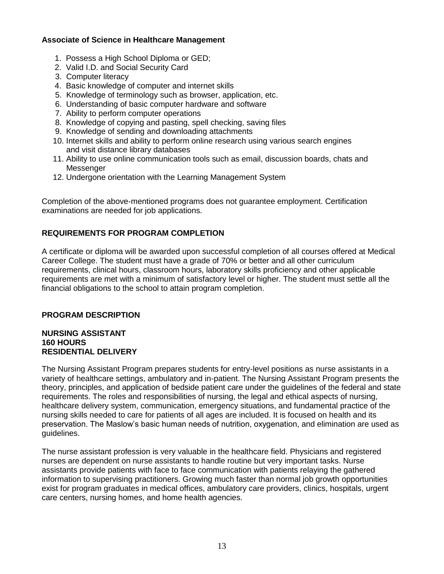# **Associate of Science in Healthcare Management**

- 1. Possess a High School Diploma or GED;
- 2. Valid I.D. and Social Security Card
- 3. Computer literacy
- 4. Basic knowledge of computer and internet skills
- 5. Knowledge of terminology such as browser, application, etc.
- 6. Understanding of basic computer hardware and software
- 7. Ability to perform computer operations
- 8. Knowledge of copying and pasting, spell checking, saving files
- 9. Knowledge of sending and downloading attachments
- 10. Internet skills and ability to perform online research using various search engines and visit distance library databases
- 11. Ability to use online communication tools such as email, discussion boards, chats and Messenger
- 12. Undergone orientation with the Learning Management System

Completion of the above-mentioned programs does not guarantee employment. Certification examinations are needed for job applications.

# **REQUIREMENTS FOR PROGRAM COMPLETION**

A certificate or diploma will be awarded upon successful completion of all courses offered at Medical Career College. The student must have a grade of 70% or better and all other curriculum requirements, clinical hours, classroom hours, laboratory skills proficiency and other applicable requirements are met with a minimum of satisfactory level or higher. The student must settle all the financial obligations to the school to attain program completion.

# **PROGRAM DESCRIPTION**

#### **NURSING ASSISTANT 160 HOURS RESIDENTIAL DELIVERY**

The Nursing Assistant Program prepares students for entry-level positions as nurse assistants in a variety of healthcare settings, ambulatory and in-patient. The Nursing Assistant Program presents the theory, principles, and application of bedside patient care under the guidelines of the federal and state requirements. The roles and responsibilities of nursing, the legal and ethical aspects of nursing, healthcare delivery system, communication, emergency situations, and fundamental practice of the nursing skills needed to care for patients of all ages are included. It is focused on health and its preservation. The Maslow's basic human needs of nutrition, oxygenation, and elimination are used as guidelines.

The nurse assistant profession is very valuable in the healthcare field. Physicians and registered nurses are dependent on nurse assistants to handle routine but very important tasks. Nurse assistants provide patients with face to face communication with patients relaying the gathered information to supervising practitioners. Growing much faster than normal job growth opportunities exist for program graduates in medical offices, ambulatory care providers, clinics, hospitals, urgent care centers, nursing homes, and home health agencies.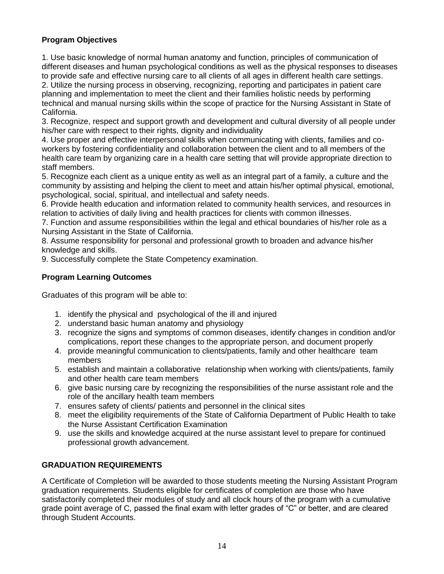# **Program Objectives**

1. Use basic knowledge of normal human anatomy and function, principles of communication of different diseases and human psychological conditions as well as the physical responses to diseases to provide safe and effective nursing care to all clients of all ages in different health care settings.

2. Utilize the nursing process in observing, recognizing, reporting and participates in patient care planning and implementation to meet the client and their families holistic needs by performing technical and manual nursing skills within the scope of practice for the Nursing Assistant in State of California.

3. Recognize, respect and support growth and development and cultural diversity of all people under his/her care with respect to their rights, dignity and individuality

4. Use proper and effective interpersonal skills when communicating with clients, families and coworkers by fostering confidentiality and collaboration between the client and to all members of the health care team by organizing care in a health care setting that will provide appropriate direction to staff members.

5. Recognize each client as a unique entity as well as an integral part of a family, a culture and the community by assisting and helping the client to meet and attain his/her optimal physical, emotional, psychological, social, spiritual, and intellectual and safety needs.

6. Provide health education and information related to community health services, and resources in relation to activities of daily living and health practices for clients with common illnesses.

7. Function and assume responsibilities within the legal and ethical boundaries of his/her role as a Nursing Assistant in the State of California.

8. Assume responsibility for personal and professional growth to broaden and advance his/her knowledge and skills.

9. Successfully complete the State Competency examination.

# **Program Learning Outcomes**

Graduates of this program will be able to:

- 1. identify the physical and psychological of the ill and injured
- 2. understand basic human anatomy and physiology
- 3. recognize the signs and symptoms of common diseases, identify changes in condition and/or complications, report these changes to the appropriate person, and document properly
- 4. provide meaningful communication to clients/patients, family and other healthcare team members
- 5. establish and maintain a collaborative relationship when working with clients/patients, family and other health care team members
- 6. give basic nursing care by recognizing the responsibilities of the nurse assistant role and the role of the ancillary health team members
- 7. ensures safety of clients/ patients and personnel in the clinical sites
- 8. meet the eligibility requirements of the State of California Department of Public Health to take the Nurse Assistant Certification Examination
- 9. use the skills and knowledge acquired at the nurse assistant level to prepare for continued professional growth advancement.

# **GRADUATION REQUIREMENTS**

A Certificate of Completion will be awarded to those students meeting the Nursing Assistant Program graduation requirements. Students eligible for certificates of completion are those who have satisfactorily completed their modules of study and all clock hours of the program with a cumulative grade point average of C, passed the final exam with letter grades of "C" or better, and are cleared through Student Accounts.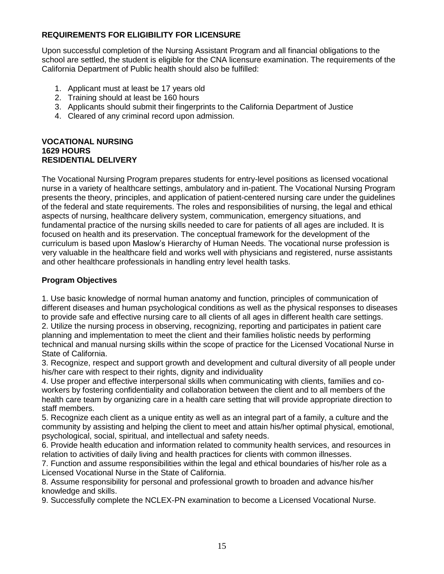# **REQUIREMENTS FOR ELIGIBILITY FOR LICENSURE**

Upon successful completion of the Nursing Assistant Program and all financial obligations to the school are settled, the student is eligible for the CNA licensure examination. The requirements of the California Department of Public health should also be fulfilled:

- 1. Applicant must at least be 17 years old
- 2. Training should at least be 160 hours
- 3. Applicants should submit their fingerprints to the California Department of Justice
- 4. Cleared of any criminal record upon admission.

#### **VOCATIONAL NURSING 1629 HOURS RESIDENTIAL DELIVERY**

The Vocational Nursing Program prepares students for entry-level positions as licensed vocational nurse in a variety of healthcare settings, ambulatory and in-patient. The Vocational Nursing Program presents the theory, principles, and application of patient-centered nursing care under the guidelines of the federal and state requirements. The roles and responsibilities of nursing, the legal and ethical aspects of nursing, healthcare delivery system, communication, emergency situations, and fundamental practice of the nursing skills needed to care for patients of all ages are included. It is focused on health and its preservation. The conceptual framework for the development of the curriculum is based upon Maslow's Hierarchy of Human Needs. The vocational nurse profession is very valuable in the healthcare field and works well with physicians and registered, nurse assistants and other healthcare professionals in handling entry level health tasks.

# **Program Objectives**

1. Use basic knowledge of normal human anatomy and function, principles of communication of different diseases and human psychological conditions as well as the physical responses to diseases to provide safe and effective nursing care to all clients of all ages in different health care settings. 2. Utilize the nursing process in observing, recognizing, reporting and participates in patient care planning and implementation to meet the client and their families holistic needs by performing technical and manual nursing skills within the scope of practice for the Licensed Vocational Nurse in State of California.

3. Recognize, respect and support growth and development and cultural diversity of all people under his/her care with respect to their rights, dignity and individuality

4. Use proper and effective interpersonal skills when communicating with clients, families and coworkers by fostering confidentiality and collaboration between the client and to all members of the health care team by organizing care in a health care setting that will provide appropriate direction to staff members.

5. Recognize each client as a unique entity as well as an integral part of a family, a culture and the community by assisting and helping the client to meet and attain his/her optimal physical, emotional, psychological, social, spiritual, and intellectual and safety needs.

6. Provide health education and information related to community health services, and resources in relation to activities of daily living and health practices for clients with common illnesses.

7. Function and assume responsibilities within the legal and ethical boundaries of his/her role as a Licensed Vocational Nurse in the State of California.

8. Assume responsibility for personal and professional growth to broaden and advance his/her knowledge and skills.

9. Successfully complete the NCLEX-PN examination to become a Licensed Vocational Nurse.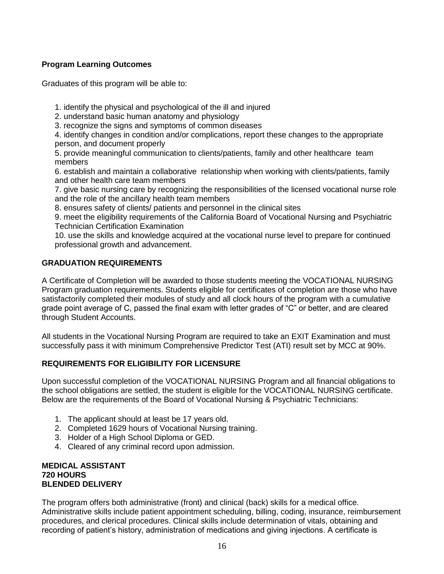# **Program Learning Outcomes**

Graduates of this program will be able to:

1. identify the physical and psychological of the ill and injured

2. understand basic human anatomy and physiology

3. recognize the signs and symptoms of common diseases

4. identify changes in condition and/or complications, report these changes to the appropriate person, and document properly

5. provide meaningful communication to clients/patients, family and other healthcare team members

6. establish and maintain a collaborative relationship when working with clients/patients, family and other health care team members

7. give basic nursing care by recognizing the responsibilities of the licensed vocational nurse role and the role of the ancillary health team members

8. ensures safety of clients/ patients and personnel in the clinical sites

9. meet the eligibility requirements of the California Board of Vocational Nursing and Psychiatric Technician Certification Examination

10. use the skills and knowledge acquired at the vocational nurse level to prepare for continued professional growth and advancement.

# **GRADUATION REQUIREMENTS**

A Certificate of Completion will be awarded to those students meeting the VOCATIONAL NURSING Program graduation requirements. Students eligible for certificates of completion are those who have satisfactorily completed their modules of study and all clock hours of the program with a cumulative grade point average of C, passed the final exam with letter grades of "C" or better, and are cleared through Student Accounts.

All students in the Vocational Nursing Program are required to take an EXIT Examination and must successfully pass it with minimum Comprehensive Predictor Test (ATI) result set by MCC at 90%.

# **REQUIREMENTS FOR ELIGIBILITY FOR LICENSURE**

Upon successful completion of the VOCATIONAL NURSING Program and all financial obligations to the school obligations are settled, the student is eligible for the VOCATIONAL NURSING certificate. Below are the requirements of the Board of Vocational Nursing & Psychiatric Technicians:

- 1. The applicant should at least be 17 years old.
- 2. Completed 1629 hours of Vocational Nursing training.
- 3. Holder of a High School Diploma or GED.
- 4. Cleared of any criminal record upon admission.

#### **MEDICAL ASSISTANT 720 HOURS BLENDED DELIVERY**

The program offers both administrative (front) and clinical (back) skills for a medical office. Administrative skills include patient appointment scheduling, billing, coding, insurance, reimbursement procedures, and clerical procedures. Clinical skills include determination of vitals, obtaining and recording of patient's history, administration of medications and giving injections. A certificate is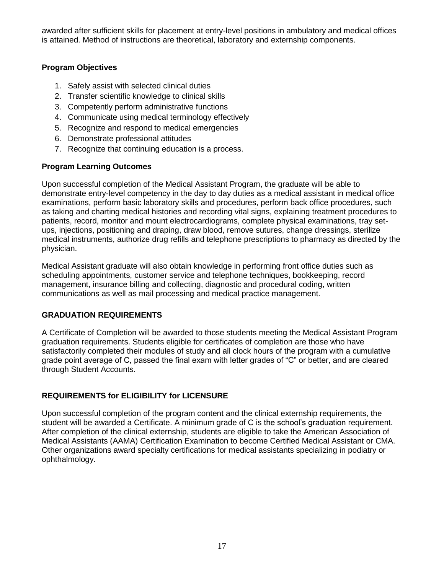awarded after sufficient skills for placement at entry-level positions in ambulatory and medical offices is attained. Method of instructions are theoretical, laboratory and externship components.

# **Program Objectives**

- 1. Safely assist with selected clinical duties
- 2. Transfer scientific knowledge to clinical skills
- 3. Competently perform administrative functions
- 4. Communicate using medical terminology effectively
- 5. Recognize and respond to medical emergencies
- 6. Demonstrate professional attitudes
- 7. Recognize that continuing education is a process.

# **Program Learning Outcomes**

Upon successful completion of the Medical Assistant Program, the graduate will be able to demonstrate entry-level competency in the day to day duties as a medical assistant in medical office examinations, perform basic laboratory skills and procedures, perform back office procedures, such as taking and charting medical histories and recording vital signs, explaining treatment procedures to patients, record, monitor and mount electrocardiograms, complete physical examinations, tray setups, injections, positioning and draping, draw blood, remove sutures, change dressings, sterilize medical instruments, authorize drug refills and telephone prescriptions to pharmacy as directed by the physician.

Medical Assistant graduate will also obtain knowledge in performing front office duties such as scheduling appointments, customer service and telephone techniques, bookkeeping, record management, insurance billing and collecting, diagnostic and procedural coding, written communications as well as mail processing and medical practice management.

# **GRADUATION REQUIREMENTS**

A Certificate of Completion will be awarded to those students meeting the Medical Assistant Program graduation requirements. Students eligible for certificates of completion are those who have satisfactorily completed their modules of study and all clock hours of the program with a cumulative grade point average of C, passed the final exam with letter grades of "C" or better, and are cleared through Student Accounts.

# **REQUIREMENTS for ELIGIBILITY for LICENSURE**

Upon successful completion of the program content and the clinical externship requirements, the student will be awarded a Certificate. A minimum grade of C is the school's graduation requirement. After completion of the clinical externship, students are eligible to take the American Association of Medical Assistants (AAMA) Certification Examination to become Certified Medical Assistant or CMA. Other organizations award specialty certifications for medical assistants specializing in podiatry or ophthalmology.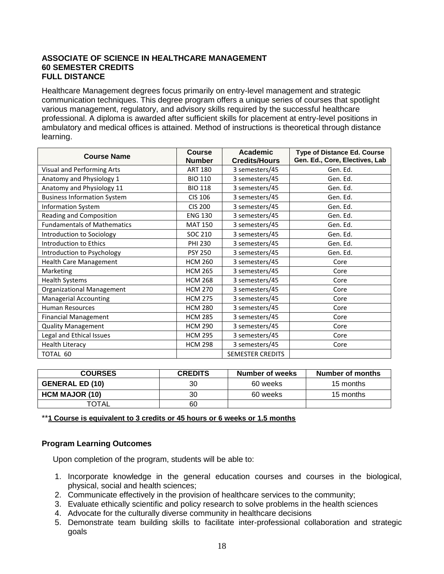#### **ASSOCIATE OF SCIENCE IN HEALTHCARE MANAGEMENT 60 SEMESTER CREDITS FULL DISTANCE**

Healthcare Management degrees focus primarily on entry-level management and strategic communication techniques. This degree program offers a unique series of courses that spotlight various management, regulatory, and advisory skills required by the successful healthcare professional. A diploma is awarded after sufficient skills for placement at entry-level positions in ambulatory and medical offices is attained. Method of instructions is theoretical through distance learning.

| <b>Course Name</b>                 | <b>Course</b><br><b>Number</b> | <b>Academic</b><br><b>Credits/Hours</b> | <b>Type of Distance Ed. Course</b><br>Gen. Ed., Core, Electives, Lab |
|------------------------------------|--------------------------------|-----------------------------------------|----------------------------------------------------------------------|
| Visual and Performing Arts         | <b>ART 180</b>                 | 3 semesters/45                          | Gen. Ed.                                                             |
| Anatomy and Physiology 1           | <b>BIO 110</b>                 | 3 semesters/45                          | Gen. Ed.                                                             |
| Anatomy and Physiology 11          | <b>BIO 118</b>                 | 3 semesters/45                          | Gen. Ed.                                                             |
| <b>Business Information System</b> | <b>CIS 106</b>                 | 3 semesters/45                          | Gen. Ed.                                                             |
| <b>Information System</b>          | <b>CIS 200</b>                 | 3 semesters/45                          | Gen. Ed.                                                             |
| Reading and Composition            | <b>ENG 130</b>                 | 3 semesters/45                          | Gen. Ed.                                                             |
| <b>Fundamentals of Mathematics</b> | <b>MAT 150</b>                 | 3 semesters/45                          | Gen. Ed.                                                             |
| Introduction to Sociology          | SOC 210                        | 3 semesters/45                          | Gen. Ed.                                                             |
| Introduction to Ethics             | <b>PHI 230</b>                 | 3 semesters/45                          | Gen. Ed.                                                             |
| Introduction to Psychology         | <b>PSY 250</b>                 | 3 semesters/45                          | Gen. Ed.                                                             |
| <b>Health Care Management</b>      | <b>HCM 260</b>                 | 3 semesters/45                          | Core                                                                 |
| Marketing                          | <b>HCM 265</b>                 | 3 semesters/45                          | Core                                                                 |
| <b>Health Systems</b>              | <b>HCM 268</b>                 | 3 semesters/45                          | Core                                                                 |
| <b>Organizational Management</b>   | <b>HCM 270</b>                 | 3 semesters/45                          | Core                                                                 |
| <b>Managerial Accounting</b>       | <b>HCM 275</b>                 | 3 semesters/45                          | Core                                                                 |
| <b>Human Resources</b>             | <b>HCM 280</b>                 | 3 semesters/45                          | Core                                                                 |
| <b>Financial Management</b>        | <b>HCM 285</b>                 | 3 semesters/45                          | Core                                                                 |
| <b>Quality Management</b>          | <b>HCM 290</b>                 | 3 semesters/45                          | Core                                                                 |
| Legal and Ethical Issues           | <b>HCM 295</b>                 | 3 semesters/45                          | Core                                                                 |
| <b>Health Literacy</b>             | <b>HCM 298</b>                 | 3 semesters/45                          | Core                                                                 |
| TOTAL 60                           |                                | <b>SEMESTER CREDITS</b>                 |                                                                      |

| <b>COURSES</b>         | <b>CREDITS</b> | Number of weeks | Number of months |
|------------------------|----------------|-----------------|------------------|
| <b>GENERAL ED (10)</b> | 30             | 60 weeks        | 15 months        |
| <b>HCM MAJOR (10)</b>  | 30             | 60 weeks        | 15 months        |
| <b>TOTAL</b>           | 60             |                 |                  |

\*\***1 Course is equivalent to 3 credits or 45 hours or 6 weeks or 1.5 months**

#### **Program Learning Outcomes**

Upon completion of the program, students will be able to:

- 1. Incorporate knowledge in the general education courses and courses in the biological, physical, social and health sciences;
- 2. Communicate effectively in the provision of healthcare services to the community;
- 3. Evaluate ethically scientific and policy research to solve problems in the health sciences
- 4. Advocate for the culturally diverse community in healthcare decisions
- 5. Demonstrate team building skills to facilitate inter-professional collaboration and strategic goals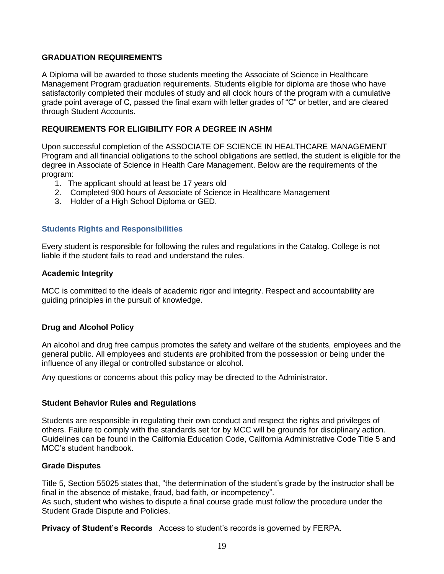#### **GRADUATION REQUIREMENTS**

A Diploma will be awarded to those students meeting the Associate of Science in Healthcare Management Program graduation requirements. Students eligible for diploma are those who have satisfactorily completed their modules of study and all clock hours of the program with a cumulative grade point average of C, passed the final exam with letter grades of "C" or better, and are cleared through Student Accounts.

#### **REQUIREMENTS FOR ELIGIBILITY FOR A DEGREE IN ASHM**

Upon successful completion of the ASSOCIATE OF SCIENCE IN HEALTHCARE MANAGEMENT Program and all financial obligations to the school obligations are settled, the student is eligible for the degree in Associate of Science in Health Care Management. Below are the requirements of the program:

- 1. The applicant should at least be 17 years old
- 2. Completed 900 hours of Associate of Science in Healthcare Management
- <span id="page-19-0"></span>3. Holder of a High School Diploma or GED.

#### **Students Rights and Responsibilities**

Every student is responsible for following the rules and regulations in the Catalog. College is not liable if the student fails to read and understand the rules.

#### **Academic Integrity**

MCC is committed to the ideals of academic rigor and integrity. Respect and accountability are guiding principles in the pursuit of knowledge.

#### **Drug and Alcohol Policy**

An alcohol and drug free campus promotes the safety and welfare of the students, employees and the general public. All employees and students are prohibited from the possession or being under the influence of any illegal or controlled substance or alcohol.

Any questions or concerns about this policy may be directed to the Administrator.

#### **Student Behavior Rules and Regulations**

Students are responsible in regulating their own conduct and respect the rights and privileges of others. Failure to comply with the standards set for by MCC will be grounds for disciplinary action. Guidelines can be found in the California Education Code, California Administrative Code Title 5 and MCC's student handbook.

#### **Grade Disputes**

Title 5, Section 55025 states that, "the determination of the student's grade by the instructor shall be final in the absence of mistake, fraud, bad faith, or incompetency". As such, student who wishes to dispute a final course grade must follow the procedure under the Student Grade Dispute and Policies.

**Privacy of Student's Records** Access to student's records is governed by FERPA.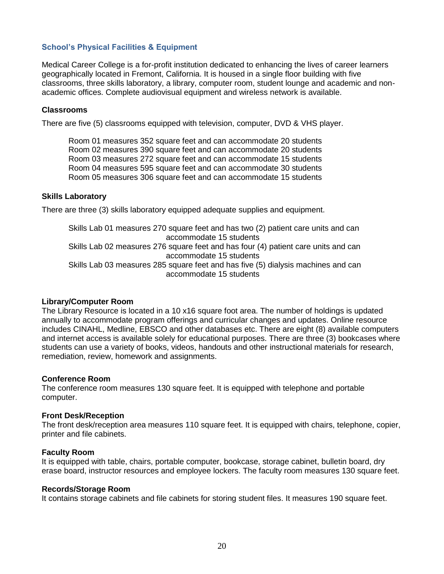#### <span id="page-20-0"></span>**School's Physical Facilities & Equipment**

Medical Career College is a for-profit institution dedicated to enhancing the lives of career learners geographically located in Fremont, California. It is housed in a single floor building with five classrooms, three skills laboratory, a library, computer room, student lounge and academic and nonacademic offices. Complete audiovisual equipment and wireless network is available.

#### **Classrooms**

There are five (5) classrooms equipped with television, computer, DVD & VHS player.

Room 01 measures 352 square feet and can accommodate 20 students Room 02 measures 390 square feet and can accommodate 20 students Room 03 measures 272 square feet and can accommodate 15 students Room 04 measures 595 square feet and can accommodate 30 students Room 05 measures 306 square feet and can accommodate 15 students

# **Skills Laboratory**

There are three (3) skills laboratory equipped adequate supplies and equipment.

 Skills Lab 01 measures 270 square feet and has two (2) patient care units and can accommodate 15 students Skills Lab 02 measures 276 square feet and has four (4) patient care units and can accommodate 15 students Skills Lab 03 measures 285 square feet and has five (5) dialysis machines and can accommodate 15 students

#### **Library/Computer Room**

The Library Resource is located in a 10 x16 square foot area. The number of holdings is updated annually to accommodate program offerings and curricular changes and updates. Online resource includes CINAHL, Medline, EBSCO and other databases etc. There are eight (8) available computers and internet access is available solely for educational purposes. There are three (3) bookcases where students can use a variety of books, videos, handouts and other instructional materials for research, remediation, review, homework and assignments.

#### **Conference Room**

The conference room measures 130 square feet. It is equipped with telephone and portable computer.

#### **Front Desk/Reception**

The front desk/reception area measures 110 square feet. It is equipped with chairs, telephone, copier, printer and file cabinets.

#### **Faculty Room**

It is equipped with table, chairs, portable computer, bookcase, storage cabinet, bulletin board, dry erase board, instructor resources and employee lockers. The faculty room measures 130 square feet.

#### **Records/Storage Room**

It contains storage cabinets and file cabinets for storing student files. It measures 190 square feet.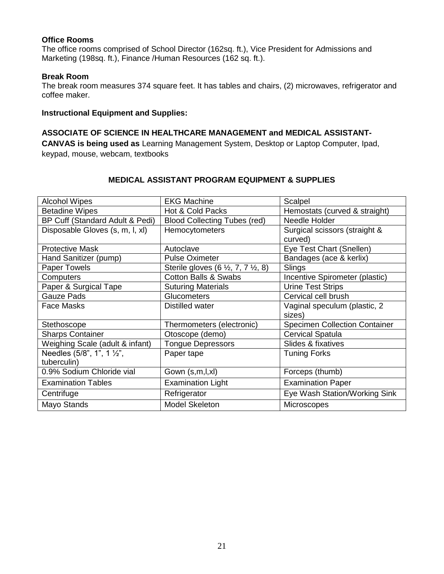#### **Office Rooms**

The office rooms comprised of School Director (162sq. ft.), Vice President for Admissions and Marketing (198sq. ft.), Finance /Human Resources (162 sq. ft.).

#### **Break Room**

The break room measures 374 square feet. It has tables and chairs, (2) microwaves, refrigerator and coffee maker.

#### **Instructional Equipment and Supplies:**

#### **ASSOCIATE OF SCIENCE IN HEALTHCARE MANAGEMENT and MEDICAL ASSISTANT-**

**CANVAS is being used as** Learning Management System, Desktop or Laptop Computer, Ipad, keypad, mouse, webcam, textbooks

# **MEDICAL ASSISTANT PROGRAM EQUIPMENT & SUPPLIES**

| <b>Alcohol Wipes</b>                      | <b>EKG Machine</b>                                    | Scalpel                                  |
|-------------------------------------------|-------------------------------------------------------|------------------------------------------|
| <b>Betadine Wipes</b>                     | Hot & Cold Packs                                      | Hemostats (curved & straight)            |
| BP Cuff (Standard Adult & Pedi)           | <b>Blood Collecting Tubes (red)</b>                   | Needle Holder                            |
| Disposable Gloves (s, m, l, xl)           | Hemocytometers                                        | Surgical scissors (straight &<br>curved) |
| <b>Protective Mask</b>                    | Autoclave                                             | Eye Test Chart (Snellen)                 |
| Hand Sanitizer (pump)                     | <b>Pulse Oximeter</b>                                 | Bandages (ace & kerlix)                  |
| Paper Towels                              | Sterile gloves $(6 \frac{1}{2}, 7, 7 \frac{1}{2}, 8)$ | Slings                                   |
| Computers                                 | <b>Cotton Balls &amp; Swabs</b>                       | Incentive Spirometer (plastic)           |
| Paper & Surgical Tape                     | <b>Suturing Materials</b>                             | <b>Urine Test Strips</b>                 |
| <b>Gauze Pads</b>                         | <b>Glucometers</b>                                    | Cervical cell brush                      |
| Face Masks                                | Distilled water                                       | Vaginal speculum (plastic, 2<br>sizes)   |
| Stethoscope                               | Thermometers (electronic)                             | <b>Specimen Collection Container</b>     |
| <b>Sharps Container</b>                   | Otoscope (demo)                                       | <b>Cervical Spatula</b>                  |
| Weighing Scale (adult & infant)           | <b>Tongue Depressors</b>                              | Slides & fixatives                       |
| Needles (5/8", 1", 1 1/2",<br>tuberculin) | Paper tape                                            | <b>Tuning Forks</b>                      |
| 0.9% Sodium Chloride vial                 | Gown (s,m,l,xl)                                       | Forceps (thumb)                          |
| <b>Examination Tables</b>                 | <b>Examination Light</b>                              | <b>Examination Paper</b>                 |
| Centrifuge                                | Refrigerator                                          | Eye Wash Station/Working Sink            |
| Mayo Stands                               | <b>Model Skeleton</b>                                 | Microscopes                              |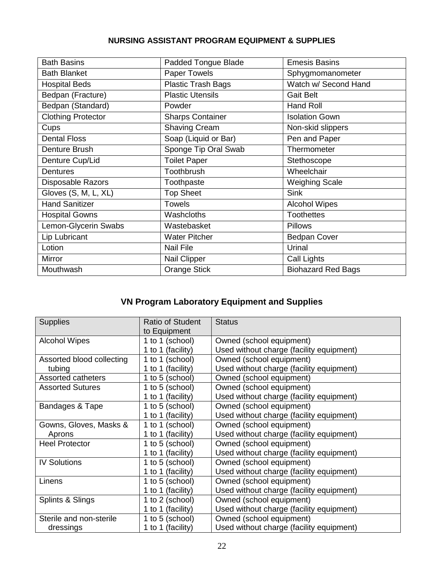# **NURSING ASSISTANT PROGRAM EQUIPMENT & SUPPLIES**

| <b>Bath Basins</b>        | Padded Tongue Blade       | <b>Emesis Basins</b>      |
|---------------------------|---------------------------|---------------------------|
| <b>Bath Blanket</b>       | Paper Towels              | Sphygmomanometer          |
| <b>Hospital Beds</b>      | <b>Plastic Trash Bags</b> | Watch w/ Second Hand      |
| Bedpan (Fracture)         | <b>Plastic Utensils</b>   | <b>Gait Belt</b>          |
| Bedpan (Standard)         | Powder                    | Hand Roll                 |
| <b>Clothing Protector</b> | <b>Sharps Container</b>   | <b>Isolation Gown</b>     |
| Cups                      | <b>Shaving Cream</b>      | Non-skid slippers         |
| <b>Dental Floss</b>       | Soap (Liquid or Bar)      | Pen and Paper             |
| Denture Brush             | Sponge Tip Oral Swab      | Thermometer               |
| Denture Cup/Lid           | <b>Toilet Paper</b>       | Stethoscope               |
| <b>Dentures</b>           | Toothbrush                | Wheelchair                |
| Disposable Razors         | Toothpaste                | <b>Weighing Scale</b>     |
| Gloves (S, M, L, XL)      | <b>Top Sheet</b>          | <b>Sink</b>               |
| <b>Hand Sanitizer</b>     | <b>Towels</b>             | <b>Alcohol Wipes</b>      |
| <b>Hospital Gowns</b>     | Washcloths                | <b>Toothettes</b>         |
| Lemon-Glycerin Swabs      | Wastebasket               | <b>Pillows</b>            |
| Lip Lubricant             | <b>Water Pitcher</b>      | <b>Bedpan Cover</b>       |
| Lotion                    | <b>Nail File</b>          | Urinal                    |
| Mirror                    | Nail Clipper              | Call Lights               |
| Mouthwash                 | <b>Orange Stick</b>       | <b>Biohazard Red Bags</b> |
|                           |                           |                           |

# **VN Program Laboratory Equipment and Supplies**

| <b>Supplies</b>           | <b>Ratio of Student</b> | <b>Status</b>                            |
|---------------------------|-------------------------|------------------------------------------|
|                           | to Equipment            |                                          |
| <b>Alcohol Wipes</b>      | 1 to 1 (school)         | Owned (school equipment)                 |
|                           | 1 to 1 (facility)       | Used without charge (facility equipment) |
| Assorted blood collecting | 1 to 1 (school)         | Owned (school equipment)                 |
| tubing                    | 1 to 1 (facility)       | Used without charge (facility equipment) |
| Assorted catheters        | 1 to 5 (school)         | Owned (school equipment)                 |
| <b>Assorted Sutures</b>   | 1 to 5 (school)         | Owned (school equipment)                 |
|                           | 1 to 1 (facility)       | Used without charge (facility equipment) |
| Bandages & Tape           | 1 to 5 (school)         | Owned (school equipment)                 |
|                           | 1 to 1 (facility)       | Used without charge (facility equipment) |
| Gowns, Gloves, Masks &    | 1 to 1 (school)         | Owned (school equipment)                 |
| Aprons                    | 1 to 1 (facility)       | Used without charge (facility equipment) |
| <b>Heel Protector</b>     | 1 to 5 (school)         | Owned (school equipment)                 |
|                           | 1 to 1 (facility)       | Used without charge (facility equipment) |
| <b>IV Solutions</b>       | 1 to 5 (school)         | Owned (school equipment)                 |
|                           | 1 to 1 (facility)       | Used without charge (facility equipment) |
| Linens                    | 1 to 5 (school)         | Owned (school equipment)                 |
|                           | 1 to 1 (facility)       | Used without charge (facility equipment) |
| Splints & Slings          | 1 to 2 (school)         | Owned (school equipment)                 |
|                           | 1 to 1 (facility)       | Used without charge (facility equipment) |
| Sterile and non-sterile   | 1 to 5 (school)         | Owned (school equipment)                 |
| dressings                 | 1 to 1 (facility)       | Used without charge (facility equipment) |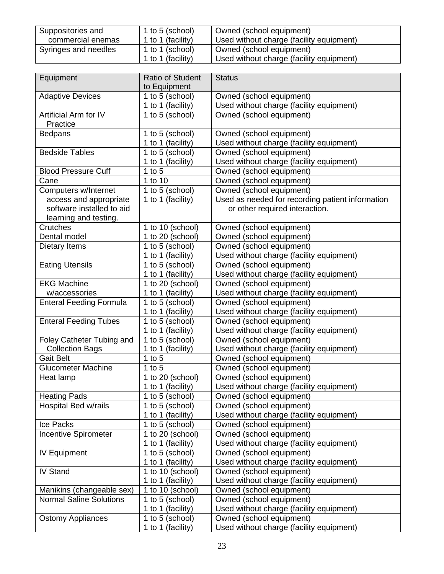| Suppositories and    | 1 to 5 (school)   | Owned (school equipment)                 |
|----------------------|-------------------|------------------------------------------|
| commercial enemas    | 1 to 1 (facility) | Used without charge (facility equipment) |
| Syringes and needles | 1 to 1 (school)   | Owned (school equipment)                 |
|                      | 1 to 1 (facility) | Used without charge (facility equipment) |

| Equipment                         | <b>Ratio of Student</b> | <b>Status</b>                                    |
|-----------------------------------|-------------------------|--------------------------------------------------|
|                                   | to Equipment            |                                                  |
| <b>Adaptive Devices</b>           | 1 to 5 (school)         | Owned (school equipment)                         |
|                                   | 1 to 1 (facility)       | Used without charge (facility equipment)         |
| Artificial Arm for IV<br>Practice | 1 to 5 (school)         | Owned (school equipment)                         |
| <b>Bedpans</b>                    | 1 to 5 (school)         | Owned (school equipment)                         |
|                                   | 1 to 1 (facility)       | Used without charge (facility equipment)         |
| <b>Bedside Tables</b>             | 1 to 5 (school)         | Owned (school equipment)                         |
|                                   | 1 to 1 (facility)       | Used without charge (facility equipment)         |
| <b>Blood Pressure Cuff</b>        | 1 to $5$                | Owned (school equipment)                         |
| Cane                              | 1 to 10                 | Owned (school equipment)                         |
| Computers w/Internet              | 1 to 5 (school)         | Owned (school equipment)                         |
| access and appropriate            | 1 to 1 (facility)       | Used as needed for recording patient information |
| software installed to aid         |                         | or other required interaction.                   |
| learning and testing.             |                         |                                                  |
| Crutches                          | 1 to 10 (school)        | Owned (school equipment)                         |
| Dental model                      | 1 to 20 (school)        | Owned (school equipment)                         |
| Dietary Items                     | 1 to 5 (school)         | Owned (school equipment)                         |
|                                   | 1 to 1 (facility)       | Used without charge (facility equipment)         |
| <b>Eating Utensils</b>            | 1 to 5 (school)         | Owned (school equipment)                         |
|                                   | 1 to 1 (facility)       | Used without charge (facility equipment)         |
| <b>EKG Machine</b>                | 1 to 20 (school)        | Owned (school equipment)                         |
| w/accessories                     | 1 to 1 (facility)       | Used without charge (facility equipment)         |
| <b>Enteral Feeding Formula</b>    | 1 to 5 (school)         | Owned (school equipment)                         |
|                                   | 1 to 1 (facility)       | Used without charge (facility equipment)         |
| <b>Enteral Feeding Tubes</b>      | 1 to 5 (school)         | Owned (school equipment)                         |
|                                   | 1 to 1 (facility)       | Used without charge (facility equipment)         |
| Foley Catheter Tubing and         | 1 to 5 (school)         | Owned (school equipment)                         |
| <b>Collection Bags</b>            | 1 to 1 (facility)       | Used without charge (facility equipment)         |
| <b>Gait Belt</b>                  | 1 to $5$                | Owned (school equipment)                         |
| <b>Glucometer Machine</b>         | 1 to $5$                | Owned (school equipment)                         |
| Heat lamp                         | 1 to 20 (school)        | Owned (school equipment)                         |
|                                   | 1 to 1 (facility)       | Used without charge (facility equipment)         |
| <b>Heating Pads</b>               | 1 to 5 (school)         | Owned (school equipment)                         |
| Hospital Bed w/rails              | 1 to 5 (school)         | Owned (school equipment)                         |
|                                   | 1 to 1 (facility)       | Used without charge (facility equipment)         |
| Ice Packs                         | 1 to 5 (school)         | Owned (school equipment)                         |
| <b>Incentive Spirometer</b>       | 1 to 20 (school)        | Owned (school equipment)                         |
|                                   | 1 to 1 (facility)       | Used without charge (facility equipment)         |
| <b>IV Equipment</b>               | 1 to 5 (school)         | Owned (school equipment)                         |
|                                   | 1 to 1 (facility)       | Used without charge (facility equipment)         |
| <b>IV Stand</b>                   | 1 to 10 (school)        | Owned (school equipment)                         |
|                                   | 1 to 1 (facility)       | Used without charge (facility equipment)         |
| Manikins (changeable sex)         | 1 to 10 (school)        | Owned (school equipment)                         |
| <b>Normal Saline Solutions</b>    | 1 to 5 (school)         | Owned (school equipment)                         |
|                                   | 1 to 1 (facility)       | Used without charge (facility equipment)         |
| <b>Ostomy Appliances</b>          | 1 to 5 (school)         | Owned (school equipment)                         |
|                                   | 1 to 1 (facility)       | Used without charge (facility equipment)         |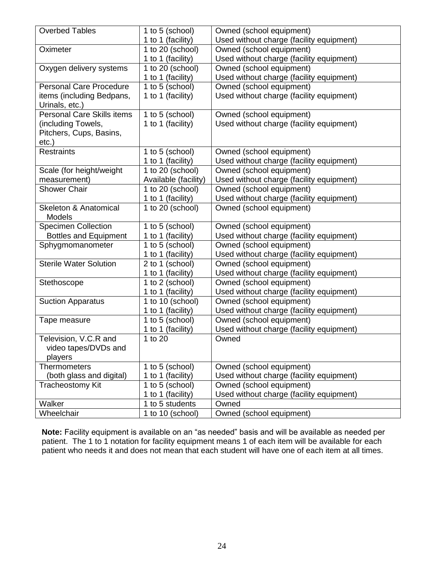| <b>Overbed Tables</b>                      | 1 to 5 (school)      | Owned (school equipment)                 |
|--------------------------------------------|----------------------|------------------------------------------|
|                                            | 1 to 1 (facility)    | Used without charge (facility equipment) |
| Oximeter                                   | 1 to 20 (school)     | Owned (school equipment)                 |
|                                            | 1 to 1 (facility)    | Used without charge (facility equipment) |
| Oxygen delivery systems                    | 1 to 20 (school)     | Owned (school equipment)                 |
|                                            | 1 to 1 (facility)    | Used without charge (facility equipment) |
| <b>Personal Care Procedure</b>             | 1 to 5 (school)      | Owned (school equipment)                 |
| items (including Bedpans,                  | 1 to 1 (facility)    | Used without charge (facility equipment) |
| Urinals, etc.)                             |                      |                                          |
| <b>Personal Care Skills items</b>          | 1 to 5 (school)      | Owned (school equipment)                 |
| (including Towels,                         | 1 to 1 (facility)    | Used without charge (facility equipment) |
| Pitchers, Cups, Basins,                    |                      |                                          |
| $etc.$ )                                   |                      |                                          |
| <b>Restraints</b>                          | 1 to 5 (school)      | Owned (school equipment)                 |
|                                            | 1 to 1 (facility)    | Used without charge (facility equipment) |
| Scale (for height/weight                   | 1 to 20 (school)     | Owned (school equipment)                 |
| measurement)                               | Available (facility) | Used without charge (facility equipment) |
| <b>Shower Chair</b>                        | 1 to 20 (school)     | Owned (school equipment)                 |
|                                            | 1 to 1 (facility)    | Used without charge (facility equipment) |
| <b>Skeleton &amp; Anatomical</b><br>Models | 1 to 20 (school)     | Owned (school equipment)                 |
| <b>Specimen Collection</b>                 | 1 to 5 (school)      | Owned (school equipment)                 |
| <b>Bottles and Equipment</b>               | 1 to 1 (facility)    | Used without charge (facility equipment) |
| Sphygmomanometer                           | 1 to 5 (school)      | Owned (school equipment)                 |
|                                            | 1 to 1 (facility)    | Used without charge (facility equipment) |
| <b>Sterile Water Solution</b>              | 2 to 1 (school)      | Owned (school equipment)                 |
|                                            | 1 to 1 (facility)    | Used without charge (facility equipment) |
| Stethoscope                                | 1 to 2 (school)      | Owned (school equipment)                 |
|                                            | 1 to 1 (facility)    | Used without charge (facility equipment) |
| <b>Suction Apparatus</b>                   | 1 to 10 (school)     | Owned (school equipment)                 |
|                                            | 1 to 1 (facility)    | Used without charge (facility equipment) |
| Tape measure                               | 1 to 5 (school)      | Owned (school equipment)                 |
|                                            | 1 to 1 (facility)    | Used without charge (facility equipment) |
| Television, V.C.R and                      | 1 to 20              | Owned                                    |
| video tapes/DVDs and                       |                      |                                          |
| players                                    |                      |                                          |
| <b>Thermometers</b>                        | 1 to 5 (school)      | Owned (school equipment)                 |
| (both glass and digital)                   | 1 to 1 (facility)    | Used without charge (facility equipment) |
| Tracheostomy Kit                           | 1 to 5 (school)      | Owned (school equipment)                 |
|                                            | 1 to 1 (facility)    | Used without charge (facility equipment) |
| Walker                                     | 1 to 5 students      | Owned                                    |
| Wheelchair                                 | 1 to 10 (school)     | Owned (school equipment)                 |

<span id="page-24-0"></span>**Note:** Facility equipment is available on an "as needed" basis and will be available as needed per patient. The 1 to 1 notation for facility equipment means 1 of each item will be available for each patient who needs it and does not mean that each student will have one of each item at all times.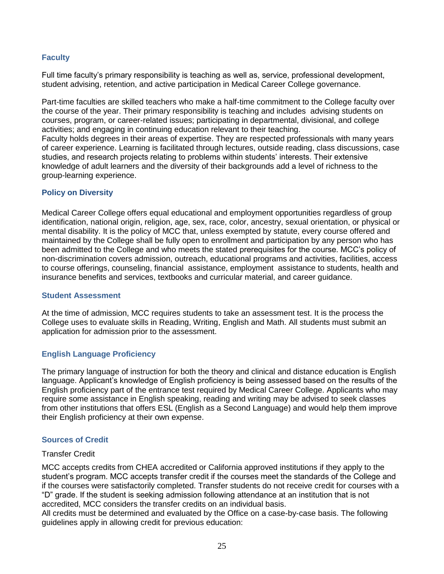# **Faculty**

Full time faculty's primary responsibility is teaching as well as, service, professional development, student advising, retention, and active participation in Medical Career College governance.

Part-time faculties are skilled teachers who make a half-time commitment to the College faculty over the course of the year. Their primary responsibility is teaching and includes advising students on courses, program, or career-related issues; participating in departmental, divisional, and college activities; and engaging in continuing education relevant to their teaching. Faculty holds degrees in their areas of expertise. They are respected professionals with many years of career experience. Learning is facilitated through lectures, outside reading, class discussions, case studies, and research projects relating to problems within students' interests. Their extensive knowledge of adult learners and the diversity of their backgrounds add a level of richness to the group-learning experience.

#### **Policy on Diversity**

Medical Career College offers equal educational and employment opportunities regardless of group identification, national origin, religion, age, sex, race, color, ancestry, sexual orientation, or physical or mental disability. It is the policy of MCC that, unless exempted by statute, every course offered and maintained by the College shall be fully open to enrollment and participation by any person who has been admitted to the College and who meets the stated prerequisites for the course. MCC's policy of non-discrimination covers admission, outreach, educational programs and activities, facilities, access to course offerings, counseling, financial assistance, employment assistance to students, health and insurance benefits and services, textbooks and curricular material, and career guidance.

#### <span id="page-25-0"></span>**Student Assessment**

At the time of admission, MCC requires students to take an assessment test. It is the process the College uses to evaluate skills in Reading, Writing, English and Math. All students must submit an application for admission prior to the assessment.

#### <span id="page-25-1"></span>**English Language Proficiency**

The primary language of instruction for both the theory and clinical and distance education is English language. Applicant's knowledge of English proficiency is being assessed based on the results of the English proficiency part of the entrance test required by Medical Career College. Applicants who may require some assistance in English speaking, reading and writing may be advised to seek classes from other institutions that offers ESL (English as a Second Language) and would help them improve their English proficiency at their own expense.

#### <span id="page-25-2"></span>**Sources of Credit**

#### Transfer Credit

MCC accepts credits from CHEA accredited or California approved institutions if they apply to the student's program. MCC accepts transfer credit if the courses meet the standards of the College and if the courses were satisfactorily completed. Transfer students do not receive credit for courses with a "D" grade. If the student is seeking admission following attendance at an institution that is not accredited, MCC considers the transfer credits on an individual basis.

All credits must be determined and evaluated by the Office on a case-by-case basis. The following guidelines apply in allowing credit for previous education: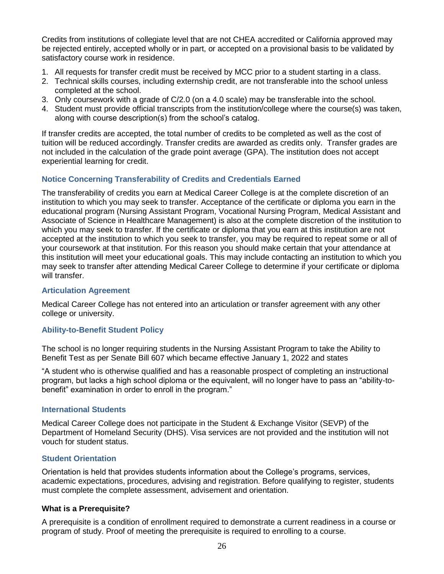Credits from institutions of collegiate level that are not CHEA accredited or California approved may be rejected entirely, accepted wholly or in part, or accepted on a provisional basis to be validated by satisfactory course work in residence.

- 1. All requests for transfer credit must be received by MCC prior to a student starting in a class.
- 2. Technical skills courses, including externship credit, are not transferable into the school unless completed at the school.
- 3. Only coursework with a grade of C/2.0 (on a 4.0 scale) may be transferable into the school.
- 4. Student must provide official transcripts from the institution/college where the course(s) was taken, along with course description(s) from the school's catalog.

If transfer credits are accepted, the total number of credits to be completed as well as the cost of tuition will be reduced accordingly. Transfer credits are awarded as credits only. Transfer grades are not included in the calculation of the grade point average (GPA). The institution does not accept experiential learning for credit.

#### **Notice Concerning Transferability of Credits and Credentials Earned**

The transferability of credits you earn at Medical Career College is at the complete discretion of an institution to which you may seek to transfer. Acceptance of the certificate or diploma you earn in the educational program (Nursing Assistant Program, Vocational Nursing Program, Medical Assistant and Associate of Science in Healthcare Management) is also at the complete discretion of the institution to which you may seek to transfer. If the certificate or diploma that you earn at this institution are not accepted at the institution to which you seek to transfer, you may be required to repeat some or all of your coursework at that institution. For this reason you should make certain that your attendance at this institution will meet your educational goals. This may include contacting an institution to which you may seek to transfer after attending Medical Career College to determine if your certificate or diploma will transfer.

#### **Articulation Agreement**

Medical Career College has not entered into an articulation or transfer agreement with any other college or university.

#### <span id="page-26-1"></span><span id="page-26-0"></span>**Ability-to-Benefit Student Policy**

The school is no longer requiring students in the Nursing Assistant Program to take the Ability to Benefit Test as per Senate Bill 607 which became effective January 1, 2022 and states

"A student who is otherwise qualified and has a reasonable prospect of completing an instructional program, but lacks a high school diploma or the equivalent, will no longer have to pass an "ability-tobenefit" examination in order to enroll in the program."

#### **International Students**

Medical Career College does not participate in the Student & Exchange Visitor (SEVP) of the Department of Homeland Security (DHS). Visa services are not provided and the institution will not vouch for student status.

#### <span id="page-26-2"></span>**Student Orientation**

Orientation is held that provides students information about the College's programs, services, academic expectations, procedures, advising and registration. Before qualifying to register, students must complete the complete assessment, advisement and orientation.

#### **What is a Prerequisite?**

A prerequisite is a condition of enrollment required to demonstrate a current readiness in a course or program of study. Proof of meeting the prerequisite is required to enrolling to a course.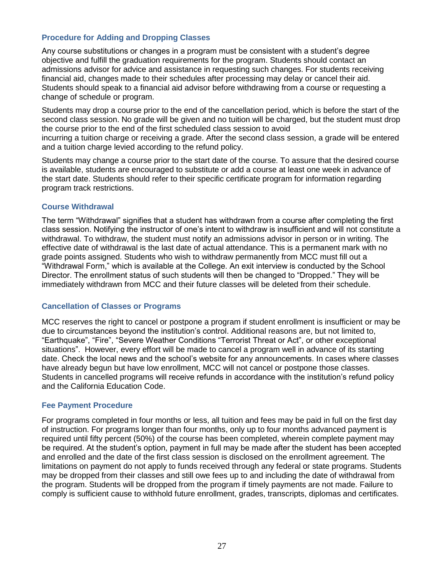# <span id="page-27-0"></span>**Procedure for Adding and Dropping Classes**

Any course substitutions or changes in a program must be consistent with a student's degree objective and fulfill the graduation requirements for the program. Students should contact an admissions advisor for advice and assistance in requesting such changes. For students receiving financial aid, changes made to their schedules after processing may delay or cancel their aid. Students should speak to a financial aid advisor before withdrawing from a course or requesting a change of schedule or program.

Students may drop a course prior to the end of the cancellation period, which is before the start of the second class session. No grade will be given and no tuition will be charged, but the student must drop the course prior to the end of the first scheduled class session to avoid

incurring a tuition charge or receiving a grade. After the second class session, a grade will be entered and a tuition charge levied according to the refund policy.

Students may change a course prior to the start date of the course. To assure that the desired course is available, students are encouraged to substitute or add a course at least one week in advance of the start date. Students should refer to their specific certificate program for information regarding program track restrictions.

#### <span id="page-27-1"></span>**Course Withdrawal**

The term "Withdrawal" signifies that a student has withdrawn from a course after completing the first class session. Notifying the instructor of one's intent to withdraw is insufficient and will not constitute a withdrawal. To withdraw, the student must notify an admissions advisor in person or in writing. The effective date of withdrawal is the last date of actual attendance. This is a permanent mark with no grade points assigned. Students who wish to withdraw permanently from MCC must fill out a "Withdrawal Form," which is available at the College. An exit interview is conducted by the School Director. The enrollment status of such students will then be changed to "Dropped." They will be immediately withdrawn from MCC and their future classes will be deleted from their schedule.

#### <span id="page-27-2"></span>**Cancellation of Classes or Programs**

MCC reserves the right to cancel or postpone a program if student enrollment is insufficient or may be due to circumstances beyond the institution's control. Additional reasons are, but not limited to, "Earthquake", "Fire", "Severe Weather Conditions "Terrorist Threat or Act", or other exceptional situations". However, every effort will be made to cancel a program well in advance of its starting date. Check the local news and the school's website for any announcements. In cases where classes have already begun but have low enrollment, MCC will not cancel or postpone those classes. Students in cancelled programs will receive refunds in accordance with the institution's refund policy and the California Education Code.

#### <span id="page-27-3"></span>**Fee Payment Procedure**

For programs completed in four months or less, all tuition and fees may be paid in full on the first day of instruction. For programs longer than four months, only up to four months advanced payment is required until fifty percent (50%) of the course has been completed, wherein complete payment may be required. At the student's option, payment in full may be made after the student has been accepted and enrolled and the date of the first class session is disclosed on the enrollment agreement. The limitations on payment do not apply to funds received through any federal or state programs. Students may be dropped from their classes and still owe fees up to and including the date of withdrawal from the program. Students will be dropped from the program if timely payments are not made. Failure to comply is sufficient cause to withhold future enrollment, grades, transcripts, diplomas and certificates.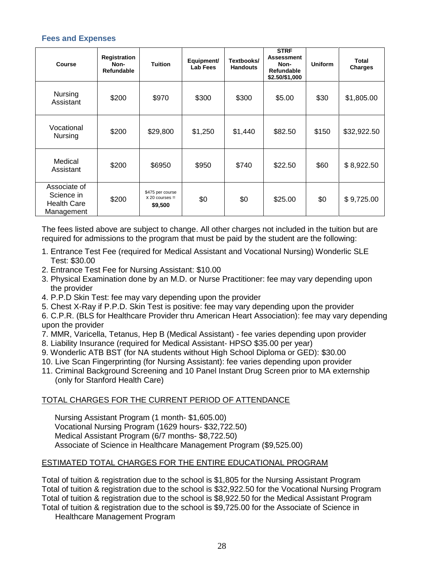#### **Fees and Expenses**

| Course                                                         | Registration<br>Non-<br><b>Refundable</b> | <b>Tuition</b>                                          | Equipment/<br><b>Lab Fees</b> | Textbooks/<br><b>Handouts</b> | <b>STRF</b><br><b>Assessment</b><br>Non-<br><b>Refundable</b><br>\$2.50/\$1,000 | <b>Uniform</b> | Total<br>Charges |
|----------------------------------------------------------------|-------------------------------------------|---------------------------------------------------------|-------------------------------|-------------------------------|---------------------------------------------------------------------------------|----------------|------------------|
| <b>Nursing</b><br>Assistant                                    | \$200                                     | \$970                                                   | \$300                         | \$300                         | \$5.00                                                                          | \$30           | \$1,805.00       |
| Vocational<br>Nursing                                          | \$200                                     | \$29,800                                                | \$1,250                       | \$1,440                       | \$82.50                                                                         | \$150          | \$32,922.50      |
| Medical<br>Assistant                                           | \$200                                     | \$6950                                                  | \$950                         | \$740                         | \$22.50                                                                         | \$60           | \$8,922.50       |
| Associate of<br>Science in<br><b>Health Care</b><br>Management | \$200                                     | \$475 per course<br>$x 20 \text{ courses} =$<br>\$9,500 | \$0                           | \$0                           | \$25.00                                                                         | \$0            | \$9,725.00       |

The fees listed above are subject to change. All other charges not included in the tuition but are required for admissions to the program that must be paid by the student are the following:

- 1. Entrance Test Fee (required for Medical Assistant and Vocational Nursing) Wonderlic SLE Test: \$30.00
- 2. Entrance Test Fee for Nursing Assistant: \$10.00
- 3. Physical Examination done by an M.D. or Nurse Practitioner: fee may vary depending upon the provider
- 4. P.P.D Skin Test: fee may vary depending upon the provider
- 5. Chest X-Ray if P.P.D. Skin Test is positive: fee may vary depending upon the provider
- 6. C.P.R. (BLS for Healthcare Provider thru American Heart Association): fee may vary depending upon the provider
- 7. MMR, Varicella, Tetanus, Hep B (Medical Assistant) fee varies depending upon provider
- 8. Liability Insurance (required for Medical Assistant- HPSO \$35.00 per year)
- 9. Wonderlic ATB BST (for NA students without High School Diploma or GED): \$30.00
- 10. Live Scan Fingerprinting (for Nursing Assistant): fee varies depending upon provider
- 11. Criminal Background Screening and 10 Panel Instant Drug Screen prior to MA externship (only for Stanford Health Care)

#### TOTAL CHARGES FOR THE CURRENT PERIOD OF ATTENDANCE

Nursing Assistant Program (1 month- \$1,605.00) Vocational Nursing Program (1629 hours- \$32,722.50) Medical Assistant Program (6/7 months- \$8,722.50) Associate of Science in Healthcare Management Program (\$9,525.00)

#### ESTIMATED TOTAL CHARGES FOR THE ENTIRE EDUCATIONAL PROGRAM

Total of tuition & registration due to the school is \$1,805 for the Nursing Assistant Program Total of tuition & registration due to the school is \$32,922.50 for the Vocational Nursing Program Total of tuition & registration due to the school is \$8,922.50 for the Medical Assistant Program Total of tuition & registration due to the school is \$9,725.00 for the Associate of Science in

Healthcare Management Program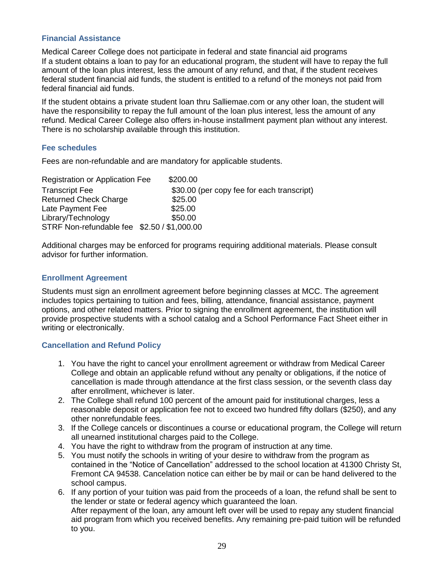#### **Financial Assistance**

Medical Career College does not participate in federal and state financial aid programs If a student obtains a loan to pay for an educational program, the student will have to repay the full amount of the loan plus interest, less the amount of any refund, and that, if the student receives federal student financial aid funds, the student is entitled to a refund of the moneys not paid from federal financial aid funds.

If the student obtains a private student loan thru Salliemae.com or any other loan, the student will have the responsibility to repay the full amount of the loan plus interest, less the amount of any refund. Medical Career College also offers in-house installment payment plan without any interest. There is no scholarship available through this institution.

# **Fee schedules**

Fees are non-refundable and are mandatory for applicable students.

| <b>Registration or Application Fee</b>      | \$200.00                                   |
|---------------------------------------------|--------------------------------------------|
| <b>Transcript Fee</b>                       | \$30.00 (per copy fee for each transcript) |
| <b>Returned Check Charge</b>                | \$25.00                                    |
| Late Payment Fee                            | \$25.00                                    |
| Library/Technology                          | \$50.00                                    |
| STRF Non-refundable fee \$2.50 / \$1,000.00 |                                            |

Additional charges may be enforced for programs requiring additional materials. Please consult advisor for further information.

# **Enrollment Agreement**

Students must sign an enrollment agreement before beginning classes at MCC. The agreement includes topics pertaining to tuition and fees, billing, attendance, financial assistance, payment options, and other related matters. Prior to signing the enrollment agreement, the institution will provide prospective students with a school catalog and a School Performance Fact Sheet either in writing or electronically.

# **Cancellation and Refund Policy**

- <span id="page-29-0"></span>1. You have the right to cancel your enrollment agreement or withdraw from Medical Career College and obtain an applicable refund without any penalty or obligations, if the notice of cancellation is made through attendance at the first class session, or the seventh class day after enrollment, whichever is later.
- 2. The College shall refund 100 percent of the amount paid for institutional charges, less a reasonable deposit or application fee not to exceed two hundred fifty dollars (\$250), and any other nonrefundable fees.
- 3. If the College cancels or discontinues a course or educational program, the College will return all unearned institutional charges paid to the College.
- 4. You have the right to withdraw from the program of instruction at any time.
- 5. You must notify the schools in writing of your desire to withdraw from the program as contained in the "Notice of Cancellation" addressed to the school location at 41300 Christy St, Fremont CA 94538. Cancelation notice can either be by mail or can be hand delivered to the school campus.
- 6. If any portion of your tuition was paid from the proceeds of a loan, the refund shall be sent to the lender or state or federal agency which guaranteed the loan. After repayment of the loan, any amount left over will be used to repay any student financial aid program from which you received benefits. Any remaining pre-paid tuition will be refunded to you.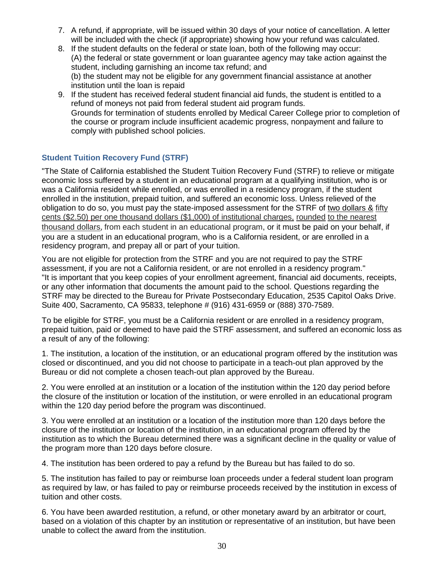- 7. A refund, if appropriate, will be issued within 30 days of your notice of cancellation. A letter will be included with the check (if appropriate) showing how your refund was calculated.
- 8. If the student defaults on the federal or state loan, both of the following may occur: (A) the federal or state government or loan guarantee agency may take action against the student, including garnishing an income tax refund; and (b) the student may not be eligible for any government financial assistance at another institution until the loan is repaid
- 9. If the student has received federal student financial aid funds, the student is entitled to a refund of moneys not paid from federal student aid program funds. Grounds for termination of students enrolled by Medical Career College prior to completion of the course or program include insufficient academic progress, nonpayment and failure to comply with published school policies.

# **Student Tuition Recovery Fund (STRF)**

"The State of California established the Student Tuition Recovery Fund (STRF) to relieve or mitigate economic loss suffered by a student in an educational program at a qualifying institution, who is or was a California resident while enrolled, or was enrolled in a residency program, if the student enrolled in the institution, prepaid tuition, and suffered an economic loss. Unless relieved of the obligation to do so, you must pay the state-imposed assessment for the STRF of two dollars & fifty cents (\$2.50) per one thousand dollars (\$1,000) of institutional charges, rounded to the nearest thousand dollars, from each student in an educational program, or it must be paid on your behalf, if you are a student in an educational program, who is a California resident, or are enrolled in a residency program, and prepay all or part of your tuition.

You are not eligible for protection from the STRF and you are not required to pay the STRF assessment, if you are not a California resident, or are not enrolled in a residency program." "It is important that you keep copies of your enrollment agreement, financial aid documents, receipts, or any other information that documents the amount paid to the school. Questions regarding the STRF may be directed to the Bureau for Private Postsecondary Education, 2535 Capitol Oaks Drive. Suite 400, Sacramento, CA 95833, telephone # (916) 431-6959 or (888) 370-7589.

To be eligible for STRF, you must be a California resident or are enrolled in a residency program, prepaid tuition, paid or deemed to have paid the STRF assessment, and suffered an economic loss as a result of any of the following:

1. The institution, a location of the institution, or an educational program offered by the institution was closed or discontinued, and you did not choose to participate in a teach-out plan approved by the Bureau or did not complete a chosen teach-out plan approved by the Bureau.

2. You were enrolled at an institution or a location of the institution within the 120 day period before the closure of the institution or location of the institution, or were enrolled in an educational program within the 120 day period before the program was discontinued.

3. You were enrolled at an institution or a location of the institution more than 120 days before the closure of the institution or location of the institution, in an educational program offered by the institution as to which the Bureau determined there was a significant decline in the quality or value of the program more than 120 days before closure.

4. The institution has been ordered to pay a refund by the Bureau but has failed to do so.

5. The institution has failed to pay or reimburse loan proceeds under a federal student loan program as required by law, or has failed to pay or reimburse proceeds received by the institution in excess of tuition and other costs.

6. You have been awarded restitution, a refund, or other monetary award by an arbitrator or court, based on a violation of this chapter by an institution or representative of an institution, but have been unable to collect the award from the institution.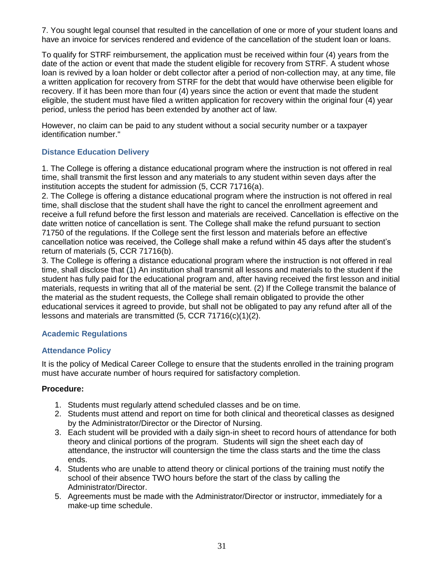7. You sought legal counsel that resulted in the cancellation of one or more of your student loans and have an invoice for services rendered and evidence of the cancellation of the student loan or loans.

To qualify for STRF reimbursement, the application must be received within four (4) years from the date of the action or event that made the student eligible for recovery from STRF. A student whose loan is revived by a loan holder or debt collector after a period of non-collection may, at any time, file a written application for recovery from STRF for the debt that would have otherwise been eligible for recovery. If it has been more than four (4) years since the action or event that made the student eligible, the student must have filed a written application for recovery within the original four (4) year period, unless the period has been extended by another act of law.

However, no claim can be paid to any student without a social security number or a taxpayer identification number."

# **Distance Education Delivery**

1. The College is offering a distance educational program where the instruction is not offered in real time, shall transmit the first lesson and any materials to any student within seven days after the institution accepts the student for admission (5, CCR 71716(a).

2. The College is offering a distance educational program where the instruction is not offered in real time, shall disclose that the student shall have the right to cancel the enrollment agreement and receive a full refund before the first lesson and materials are received. Cancellation is effective on the date written notice of cancellation is sent. The College shall make the refund pursuant to section 71750 of the regulations. If the College sent the first lesson and materials before an effective cancellation notice was received, the College shall make a refund within 45 days after the student's return of materials (5, CCR 71716(b).

3. The College is offering a distance educational program where the instruction is not offered in real time, shall disclose that (1) An institution shall transmit all lessons and materials to the student if the student has fully paid for the educational program and, after having received the first lesson and initial materials, requests in writing that all of the material be sent. (2) If the College transmit the balance of the material as the student requests, the College shall remain obligated to provide the other educational services it agreed to provide, but shall not be obligated to pay any refund after all of the lessons and materials are transmitted (5, CCR 71716(c)(1)(2).

# **Academic Regulations**

# **Attendance Policy**

It is the policy of Medical Career College to ensure that the students enrolled in the training program must have accurate number of hours required for satisfactory completion.

# **Procedure:**

- 1. Students must regularly attend scheduled classes and be on time.
- 2. Students must attend and report on time for both clinical and theoretical classes as designed by the Administrator/Director or the Director of Nursing.
- 3. Each student will be provided with a daily sign-in sheet to record hours of attendance for both theory and clinical portions of the program. Students will sign the sheet each day of attendance, the instructor will countersign the time the class starts and the time the class ends.
- 4. Students who are unable to attend theory or clinical portions of the training must notify the school of their absence TWO hours before the start of the class by calling the Administrator/Director.
- 5. Agreements must be made with the Administrator/Director or instructor, immediately for a make-up time schedule.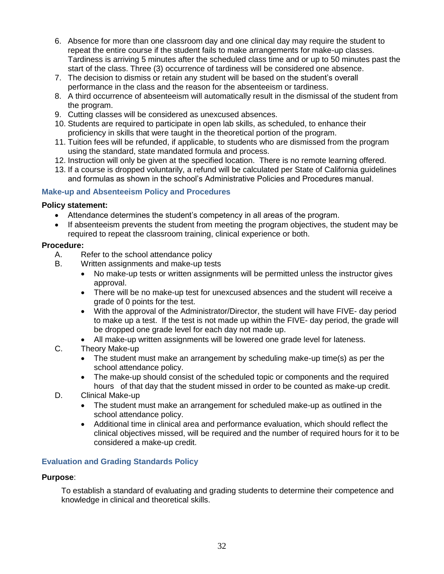- 6. Absence for more than one classroom day and one clinical day may require the student to repeat the entire course if the student fails to make arrangements for make-up classes. Tardiness is arriving 5 minutes after the scheduled class time and or up to 50 minutes past the start of the class. Three (3) occurrence of tardiness will be considered one absence.
- 7. The decision to dismiss or retain any student will be based on the student's overall performance in the class and the reason for the absenteeism or tardiness.
- 8. A third occurrence of absenteeism will automatically result in the dismissal of the student from the program.
- 9. Cutting classes will be considered as unexcused absences.
- 10. Students are required to participate in open lab skills, as scheduled, to enhance their proficiency in skills that were taught in the theoretical portion of the program.
- 11. Tuition fees will be refunded, if applicable, to students who are dismissed from the program using the standard, state mandated formula and process.
- 12. Instruction will only be given at the specified location. There is no remote learning offered.
- 13. If a course is dropped voluntarily, a refund will be calculated per State of California guidelines and formulas as shown in the school's Administrative Policies and Procedures manual.

#### <span id="page-32-0"></span>**Make-up and Absenteeism Policy and Procedures**

#### **Policy statement:**

- Attendance determines the student's competency in all areas of the program.
- If absenteeism prevents the student from meeting the program objectives, the student may be required to repeat the classroom training, clinical experience or both.

#### **Procedure:**

- A. Refer to the school attendance policy
- B. Written assignments and make-up tests
	- No make-up tests or written assignments will be permitted unless the instructor gives approval.
	- There will be no make-up test for unexcused absences and the student will receive a grade of 0 points for the test.
	- With the approval of the Administrator/Director, the student will have FIVE- day period to make up a test. If the test is not made up within the FIVE- day period, the grade will be dropped one grade level for each day not made up.
	- All make-up written assignments will be lowered one grade level for lateness.
- C. Theory Make-up
	- The student must make an arrangement by scheduling make-up time(s) as per the school attendance policy.
	- The make-up should consist of the scheduled topic or components and the required hours of that day that the student missed in order to be counted as make-up credit.
- D. Clinical Make-up
	- The student must make an arrangement for scheduled make-up as outlined in the school attendance policy.
	- Additional time in clinical area and performance evaluation, which should reflect the clinical objectives missed, will be required and the number of required hours for it to be considered a make-up credit.

#### <span id="page-32-1"></span>**Evaluation and Grading Standards Policy**

#### **Purpose**:

To establish a standard of evaluating and grading students to determine their competence and knowledge in clinical and theoretical skills.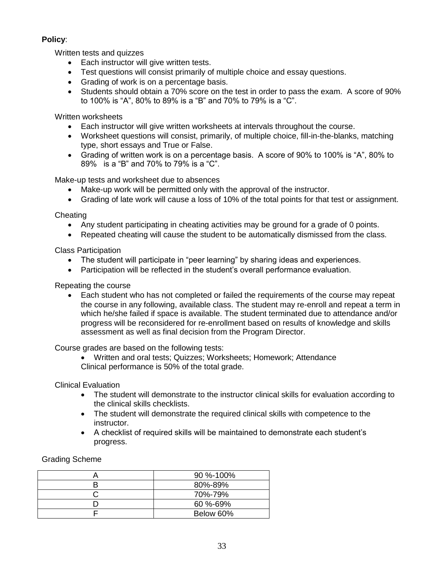# **Policy**:

Written tests and quizzes

- Each instructor will give written tests.
- Test questions will consist primarily of multiple choice and essay questions.
- Grading of work is on a percentage basis.
- Students should obtain a 70% score on the test in order to pass the exam. A score of 90% to 100% is "A", 80% to 89% is a "B" and 70% to 79% is a "C".

Written worksheets

- Each instructor will give written worksheets at intervals throughout the course.
- Worksheet questions will consist, primarily, of multiple choice, fill-in-the-blanks, matching type, short essays and True or False.
- Grading of written work is on a percentage basis. A score of 90% to 100% is "A", 80% to 89% is a "B" and 70% to 79% is a "C".

Make-up tests and worksheet due to absences

- Make-up work will be permitted only with the approval of the instructor.
- Grading of late work will cause a loss of 10% of the total points for that test or assignment.

**Cheating** 

- Any student participating in cheating activities may be ground for a grade of 0 points.
- Repeated cheating will cause the student to be automatically dismissed from the class.

Class Participation

- The student will participate in "peer learning" by sharing ideas and experiences.
- Participation will be reflected in the student's overall performance evaluation.

Repeating the course

 Each student who has not completed or failed the requirements of the course may repeat the course in any following, available class. The student may re-enroll and repeat a term in which he/she failed if space is available. The student terminated due to attendance and/or progress will be reconsidered for re-enrollment based on results of knowledge and skills assessment as well as final decision from the Program Director.

Course grades are based on the following tests:

 Written and oral tests; Quizzes; Worksheets; Homework; Attendance Clinical performance is 50% of the total grade.

Clinical Evaluation

- The student will demonstrate to the instructor clinical skills for evaluation according to the clinical skills checklists.
- The student will demonstrate the required clinical skills with competence to the instructor.
- A checklist of required skills will be maintained to demonstrate each student's progress.

Grading Scheme

| $90\% - 100\%$ |
|----------------|
| 80%-89%        |
| 70%-79%        |
| 60 %-69%       |
| Below 60%      |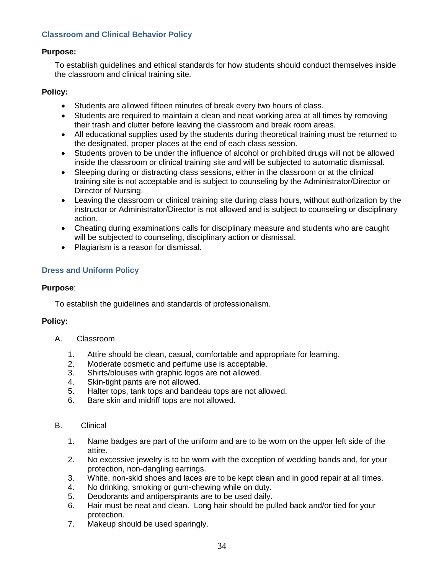# <span id="page-34-0"></span>**Classroom and Clinical Behavior Policy**

#### **Purpose:**

To establish guidelines and ethical standards for how students should conduct themselves inside the classroom and clinical training site.

# **Policy:**

- Students are allowed fifteen minutes of break every two hours of class.
- Students are required to maintain a clean and neat working area at all times by removing their trash and clutter before leaving the classroom and break room areas.
- All educational supplies used by the students during theoretical training must be returned to the designated, proper places at the end of each class session.
- Students proven to be under the influence of alcohol or prohibited drugs will not be allowed inside the classroom or clinical training site and will be subjected to automatic dismissal.
- Sleeping during or distracting class sessions, either in the classroom or at the clinical training site is not acceptable and is subject to counseling by the Administrator/Director or Director of Nursing.
- Leaving the classroom or clinical training site during class hours, without authorization by the instructor or Administrator/Director is not allowed and is subject to counseling or disciplinary action.
- Cheating during examinations calls for disciplinary measure and students who are caught will be subjected to counseling, disciplinary action or dismissal.
- Plagiarism is a reason for dismissal.

# <span id="page-34-1"></span>**Dress and Uniform Policy**

#### **Purpose**:

To establish the guidelines and standards of professionalism.

#### **Policy:**

- A. Classroom
	- 1. Attire should be clean, casual, comfortable and appropriate for learning.
	- 2. Moderate cosmetic and perfume use is acceptable.
	- 3. Shirts/blouses with graphic logos are not allowed.
	- 4. Skin-tight pants are not allowed.
	- 5. Halter tops, tank tops and bandeau tops are not allowed.
	- 6. Bare skin and midriff tops are not allowed.

#### B. Clinical

- 1. Name badges are part of the uniform and are to be worn on the upper left side of the attire.
- 2. No excessive jewelry is to be worn with the exception of wedding bands and, for your protection, non-dangling earrings.
- 3. White, non-skid shoes and laces are to be kept clean and in good repair at all times.
- 4. No drinking, smoking or gum-chewing while on duty.
- 5. Deodorants and antiperspirants are to be used daily.
- 6. Hair must be neat and clean. Long hair should be pulled back and/or tied for your protection.
- 7. Makeup should be used sparingly.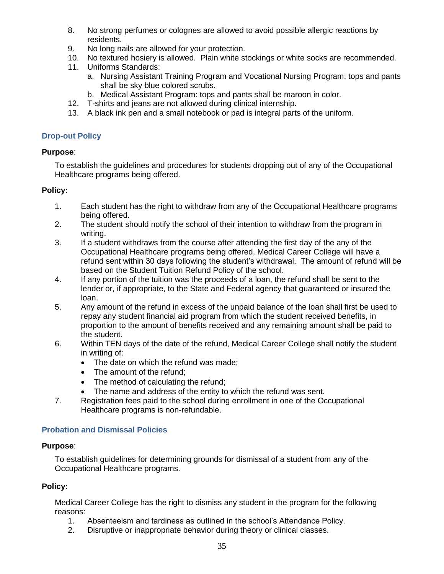- 8. No strong perfumes or colognes are allowed to avoid possible allergic reactions by residents.
- 9. No long nails are allowed for your protection.
- 10. No textured hosiery is allowed. Plain white stockings or white socks are recommended.
- 11. Uniforms Standards:
	- a. Nursing Assistant Training Program and Vocational Nursing Program: tops and pants shall be sky blue colored scrubs.
	- b. Medical Assistant Program: tops and pants shall be maroon in color.
- 12. T-shirts and jeans are not allowed during clinical internship.
- 13. A black ink pen and a small notebook or pad is integral parts of the uniform.

# <span id="page-35-0"></span>**Drop-out Policy**

# **Purpose**:

To establish the guidelines and procedures for students dropping out of any of the Occupational Healthcare programs being offered.

# **Policy:**

- 1. Each student has the right to withdraw from any of the Occupational Healthcare programs being offered.
- 2. The student should notify the school of their intention to withdraw from the program in writing.
- 3. If a student withdraws from the course after attending the first day of the any of the Occupational Healthcare programs being offered, Medical Career College will have a refund sent within 30 days following the student's withdrawal. The amount of refund will be based on the Student Tuition Refund Policy of the school.
- 4. If any portion of the tuition was the proceeds of a loan, the refund shall be sent to the lender or, if appropriate, to the State and Federal agency that guaranteed or insured the loan.
- 5. Any amount of the refund in excess of the unpaid balance of the loan shall first be used to repay any student financial aid program from which the student received benefits, in proportion to the amount of benefits received and any remaining amount shall be paid to the student.
- 6. Within TEN days of the date of the refund, Medical Career College shall notify the student in writing of:
	- The date on which the refund was made;
	- The amount of the refund:
	- The method of calculating the refund;
	- The name and address of the entity to which the refund was sent.
- 7. Registration fees paid to the school during enrollment in one of the Occupational Healthcare programs is non-refundable.

# <span id="page-35-1"></span>**Probation and Dismissal Policies**

# **Purpose**:

To establish guidelines for determining grounds for dismissal of a student from any of the Occupational Healthcare programs.

# **Policy:**

Medical Career College has the right to dismiss any student in the program for the following reasons:

- 1. Absenteeism and tardiness as outlined in the school's Attendance Policy.
- 2. Disruptive or inappropriate behavior during theory or clinical classes.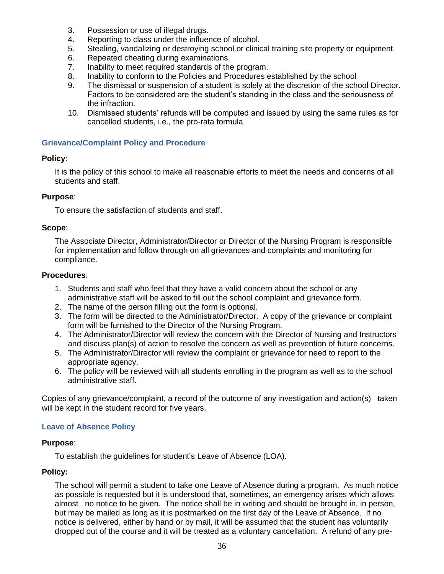- 3. Possession or use of illegal drugs.
- 4. Reporting to class under the influence of alcohol.
- 5. Stealing, vandalizing or destroying school or clinical training site property or equipment.
- 6. Repeated cheating during examinations.
- 7. Inability to meet required standards of the program.
- 8. Inability to conform to the Policies and Procedures established by the school
- 9. The dismissal or suspension of a student is solely at the discretion of the school Director. Factors to be considered are the student's standing in the class and the seriousness of the infraction.
- 10. Dismissed students' refunds will be computed and issued by using the same rules as for cancelled students, i.e., the pro-rata formula

#### <span id="page-36-0"></span>**Grievance/Complaint Policy and Procedure**

#### **Policy**:

It is the policy of this school to make all reasonable efforts to meet the needs and concerns of all students and staff.

#### **Purpose**:

To ensure the satisfaction of students and staff.

#### **Scope**:

The Associate Director, Administrator/Director or Director of the Nursing Program is responsible for implementation and follow through on all grievances and complaints and monitoring for compliance.

#### **Procedures**:

- 1. Students and staff who feel that they have a valid concern about the school or any administrative staff will be asked to fill out the school complaint and grievance form.
- 2. The name of the person filling out the form is optional.
- 3. The form will be directed to the Administrator/Director. A copy of the grievance or complaint form will be furnished to the Director of the Nursing Program.
- 4. The Administrator/Director will review the concern with the Director of Nursing and Instructors and discuss plan(s) of action to resolve the concern as well as prevention of future concerns.
- 5. The Administrator/Director will review the complaint or grievance for need to report to the appropriate agency.
- 6. The policy will be reviewed with all students enrolling in the program as well as to the school administrative staff.

Copies of any grievance/complaint, a record of the outcome of any investigation and action(s) taken will be kept in the student record for five years.

#### <span id="page-36-1"></span>**Leave of Absence Policy**

#### **Purpose**:

To establish the guidelines for student's Leave of Absence (LOA).

#### **Policy:**

The school will permit a student to take one Leave of Absence during a program. As much notice as possible is requested but it is understood that, sometimes, an emergency arises which allows almost no notice to be given. The notice shall be in writing and should be brought in, in person, but may be mailed as long as it is postmarked on the first day of the Leave of Absence. If no notice is delivered, either by hand or by mail, it will be assumed that the student has voluntarily dropped out of the course and it will be treated as a voluntary cancellation. A refund of any pre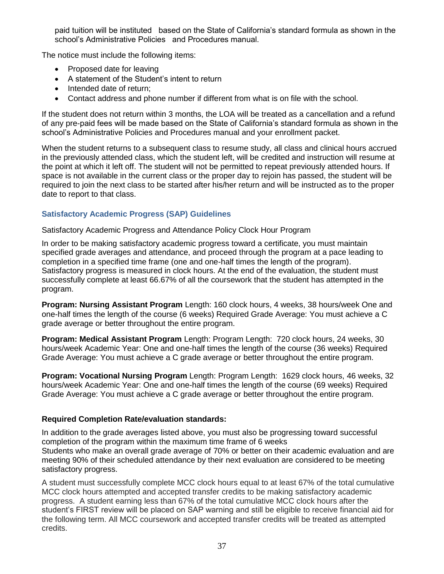paid tuition will be instituted based on the State of California's standard formula as shown in the school's Administrative Policies and Procedures manual.

The notice must include the following items:

- Proposed date for leaving
- A statement of the Student's intent to return
- Intended date of return:
- Contact address and phone number if different from what is on file with the school.

If the student does not return within 3 months, the LOA will be treated as a cancellation and a refund of any pre-paid fees will be made based on the State of California's standard formula as shown in the school's Administrative Policies and Procedures manual and your enrollment packet.

When the student returns to a subsequent class to resume study, all class and clinical hours accrued in the previously attended class, which the student left, will be credited and instruction will resume at the point at which it left off. The student will not be permitted to repeat previously attended hours. If space is not available in the current class or the proper day to rejoin has passed, the student will be required to join the next class to be started after his/her return and will be instructed as to the proper date to report to that class.

# <span id="page-37-0"></span>**Satisfactory Academic Progress (SAP) Guidelines**

Satisfactory Academic Progress and Attendance Policy Clock Hour Program

In order to be making satisfactory academic progress toward a certificate, you must maintain specified grade averages and attendance, and proceed through the program at a pace leading to completion in a specified time frame (one and one-half times the length of the program). Satisfactory progress is measured in clock hours. At the end of the evaluation, the student must successfully complete at least 66.67% of all the coursework that the student has attempted in the program.

**Program: Nursing Assistant Program** Length: 160 clock hours, 4 weeks, 38 hours/week One and one-half times the length of the course (6 weeks) Required Grade Average: You must achieve a C grade average or better throughout the entire program.

**Program: Medical Assistant Program** Length: Program Length: 720 clock hours, 24 weeks, 30 hours/week Academic Year: One and one-half times the length of the course (36 weeks) Required Grade Average: You must achieve a C grade average or better throughout the entire program.

**Program: Vocational Nursing Program** Length: Program Length: 1629 clock hours, 46 weeks, 32 hours/week Academic Year: One and one-half times the length of the course (69 weeks) Required Grade Average: You must achieve a C grade average or better throughout the entire program.

#### **Required Completion Rate/evaluation standards:**

In addition to the grade averages listed above, you must also be progressing toward successful completion of the program within the maximum time frame of 6 weeks Students who make an overall grade average of 70% or better on their academic evaluation and are meeting 90% of their scheduled attendance by their next evaluation are considered to be meeting satisfactory progress.

A student must successfully complete MCC clock hours equal to at least 67% of the total cumulative MCC clock hours attempted and accepted transfer credits to be making satisfactory academic progress. A student earning less than 67% of the total cumulative MCC clock hours after the student's FIRST review will be placed on SAP warning and still be eligible to receive financial aid for the following term. All MCC coursework and accepted transfer credits will be treated as attempted credits.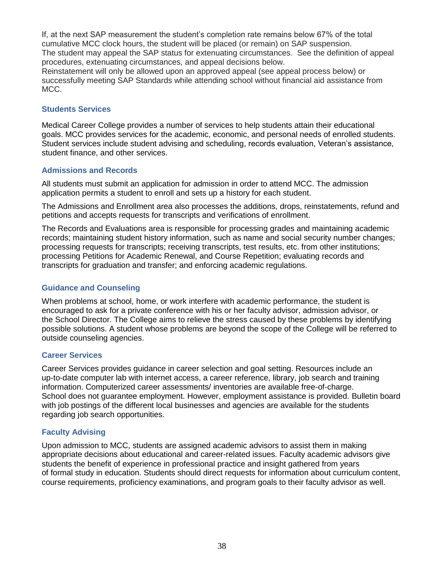If, at the next SAP measurement the student's completion rate remains below 67% of the total cumulative MCC clock hours, the student will be placed (or remain) on SAP suspension. The student may appeal the SAP status for extenuating circumstances. See the definition of appeal procedures, extenuating circumstances, and appeal decisions below.

Reinstatement will only be allowed upon an approved appeal (see appeal process below) or successfully meeting SAP Standards while attending school without financial aid assistance from MCC.

#### <span id="page-38-0"></span>**Students Services**

Medical Career College provides a number of services to help students attain their educational goals. MCC provides services for the academic, economic, and personal needs of enrolled students. Student services include student advising and scheduling, records evaluation, Veteran's assistance, student finance, and other services.

#### <span id="page-38-1"></span>**Admissions and Records**

All students must submit an application for admission in order to attend MCC. The admission application permits a student to enroll and sets up a history for each student.

The Admissions and Enrollment area also processes the additions, drops, reinstatements, refund and petitions and accepts requests for transcripts and verifications of enrollment.

The Records and Evaluations area is responsible for processing grades and maintaining academic records; maintaining student history information, such as name and social security number changes; processing requests for transcripts; receiving transcripts, test results, etc. from other institutions; processing Petitions for Academic Renewal, and Course Repetition; evaluating records and transcripts for graduation and transfer; and enforcing academic regulations.

#### <span id="page-38-2"></span>**Guidance and Counseling**

When problems at school, home, or work interfere with academic performance, the student is encouraged to ask for a private conference with his or her faculty advisor, admission advisor, or the School Director. The College aims to relieve the stress caused by these problems by identifying possible solutions. A student whose problems are beyond the scope of the College will be referred to outside counseling agencies.

#### <span id="page-38-3"></span>**Career Services**

Career Services provides guidance in career selection and goal setting. Resources include an up-to-date computer lab with internet access, a career reference, library, job search and training information. Computerized career assessments/ inventories are available free-of-charge. School does not guarantee employment. However, employment assistance is provided. Bulletin board with job postings of the different local businesses and agencies are available for the students regarding job search opportunities.

#### <span id="page-38-4"></span>**Faculty Advising**

Upon admission to MCC, students are assigned academic advisors to assist them in making appropriate decisions about educational and career-related issues. Faculty academic advisors give students the benefit of experience in professional practice and insight gathered from years of formal study in education. Students should direct requests for information about curriculum content, course requirements, proficiency examinations, and program goals to their faculty advisor as well.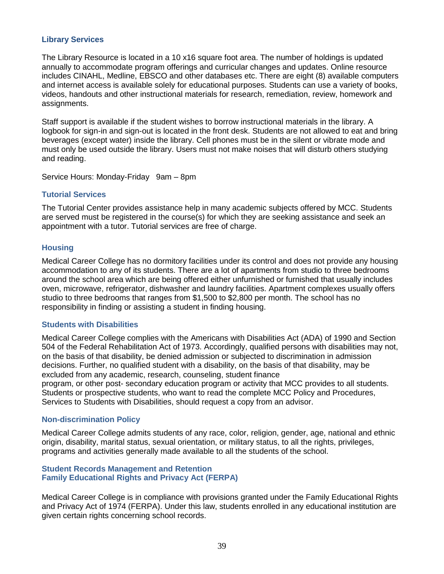#### **Library Services**

The Library Resource is located in a 10 x16 square foot area. The number of holdings is updated annually to accommodate program offerings and curricular changes and updates. Online resource includes CINAHL, Medline, EBSCO and other databases etc. There are eight (8) available computers and internet access is available solely for educational purposes. Students can use a variety of books, videos, handouts and other instructional materials for research, remediation, review, homework and assignments.

Staff support is available if the student wishes to borrow instructional materials in the library. A logbook for sign-in and sign-out is located in the front desk. Students are not allowed to eat and bring beverages (except water) inside the library. Cell phones must be in the silent or vibrate mode and must only be used outside the library. Users must not make noises that will disturb others studying and reading.

<span id="page-39-1"></span>Service Hours: Monday-Friday 9am – 8pm

#### **Tutorial Services**

The Tutorial Center provides assistance help in many academic subjects offered by MCC. Students are served must be registered in the course(s) for which they are seeking assistance and seek an appointment with a tutor. Tutorial services are free of charge.

#### <span id="page-39-2"></span>**Housing**

Medical Career College has no dormitory facilities under its control and does not provide any housing accommodation to any of its students. There are a lot of apartments from studio to three bedrooms around the school area which are being offered either unfurnished or furnished that usually includes oven, microwave, refrigerator, dishwasher and laundry facilities. Apartment complexes usually offers studio to three bedrooms that ranges from \$1,500 to \$2,800 per month. The school has no responsibility in finding or assisting a student in finding housing.

#### <span id="page-39-3"></span>**Students with Disabilities**

Medical Career College complies with the Americans with Disabilities Act (ADA) of 1990 and Section 504 of the Federal Rehabilitation Act of 1973. Accordingly, qualified persons with disabilities may not, on the basis of that disability, be denied admission or subjected to discrimination in admission decisions. Further, no qualified student with a disability, on the basis of that disability, may be excluded from any academic, research, counseling, student finance program, or other post- secondary education program or activity that MCC provides to all students. Students or prospective students, who want to read the complete MCC Policy and Procedures, Services to Students with Disabilities, should request a copy from an advisor.

#### **Non-discrimination Policy**

Medical Career College admits students of any race, color, religion, gender, age, national and ethnic origin, disability, marital status, sexual orientation, or military status, to all the rights, privileges, programs and activities generally made available to all the students of the school.

#### <span id="page-39-0"></span>**Student Records Management and Retention Family Educational Rights and Privacy Act (FERPA)**

Medical Career College is in compliance with provisions granted under the Family Educational Rights and Privacy Act of 1974 (FERPA). Under this law, students enrolled in any educational institution are given certain rights concerning school records.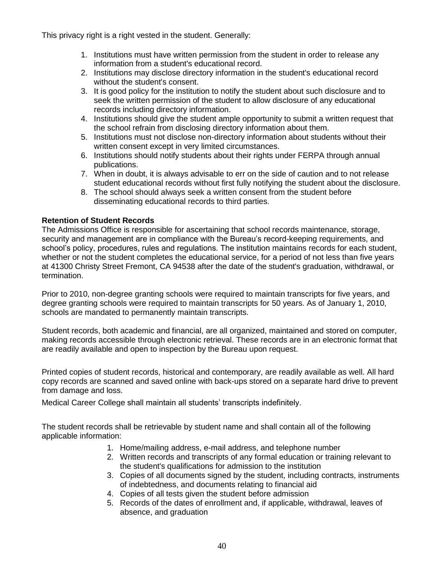This privacy right is a right vested in the student. Generally:

- 1. Institutions must have written permission from the student in order to release any information from a student's educational record.
- 2. Institutions may disclose directory information in the student's educational record without the student's consent.
- 3. It is good policy for the institution to notify the student about such disclosure and to seek the written permission of the student to allow disclosure of any educational records including directory information.
- 4. Institutions should give the student ample opportunity to submit a written request that the school refrain from disclosing directory information about them.
- 5. Institutions must not disclose non-directory information about students without their written consent except in very limited circumstances.
- 6. Institutions should notify students about their rights under FERPA through annual publications.
- 7. When in doubt, it is always advisable to err on the side of caution and to not release student educational records without first fully notifying the student about the disclosure.
- 8. The school should always seek a written consent from the student before disseminating educational records to third parties.

# **Retention of Student Records**

The Admissions Office is responsible for ascertaining that school records maintenance, storage, security and management are in compliance with the Bureau's record-keeping requirements, and school's policy, procedures, rules and regulations. The institution maintains records for each student, whether or not the student completes the educational service, for a period of not less than five years at 41300 Christy Street Fremont, CA 94538 after the date of the student's graduation, withdrawal, or termination.

Prior to 2010, non-degree granting schools were required to maintain transcripts for five years, and degree granting schools were required to maintain transcripts for 50 years. As of January 1, 2010, schools are mandated to permanently maintain transcripts.

Student records, both academic and financial, are all organized, maintained and stored on computer, making records accessible through electronic retrieval. These records are in an electronic format that are readily available and open to inspection by the Bureau upon request.

Printed copies of student records, historical and contemporary, are readily available as well. All hard copy records are scanned and saved online with back-ups stored on a separate hard drive to prevent from damage and loss.

Medical Career College shall maintain all students' transcripts indefinitely.

The student records shall be retrievable by student name and shall contain all of the following applicable information:

- 1. Home/mailing address, e-mail address, and telephone number
- 2. Written records and transcripts of any formal education or training relevant to the student's qualifications for admission to the institution
- 3. Copies of all documents signed by the student, including contracts, instruments of indebtedness, and documents relating to financial aid
- 4. Copies of all tests given the student before admission
- 5. Records of the dates of enrollment and, if applicable, withdrawal, leaves of absence, and graduation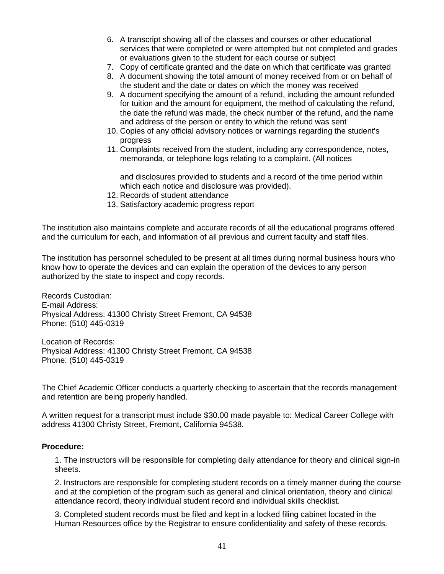- 6. A transcript showing all of the classes and courses or other educational services that were completed or were attempted but not completed and grades or evaluations given to the student for each course or subject
- 7. Copy of certificate granted and the date on which that certificate was granted
- 8. A document showing the total amount of money received from or on behalf of the student and the date or dates on which the money was received
- 9. A document specifying the amount of a refund, including the amount refunded for tuition and the amount for equipment, the method of calculating the refund, the date the refund was made, the check number of the refund, and the name and address of the person or entity to which the refund was sent
- 10. Copies of any official advisory notices or warnings regarding the student's progress
- 11. Complaints received from the student, including any correspondence, notes, memoranda, or telephone logs relating to a complaint. (All notices

and disclosures provided to students and a record of the time period within which each notice and disclosure was provided).

- 12. Records of student attendance
- 13. Satisfactory academic progress report

The institution also maintains complete and accurate records of all the educational programs offered and the curriculum for each, and information of all previous and current faculty and staff files.

The institution has personnel scheduled to be present at all times during normal business hours who know how to operate the devices and can explain the operation of the devices to any person authorized by the state to inspect and copy records.

Records Custodian: E-mail Address: Physical Address: 41300 Christy Street Fremont, CA 94538 Phone: (510) 445-0319

Location of Records: Physical Address: 41300 Christy Street Fremont, CA 94538 Phone: (510) 445-0319

The Chief Academic Officer conducts a quarterly checking to ascertain that the records management and retention are being properly handled.

A written request for a transcript must include \$30.00 made payable to: Medical Career College with address 41300 Christy Street, Fremont, California 94538.

#### **Procedure:**

1. The instructors will be responsible for completing daily attendance for theory and clinical sign-in sheets.

2. Instructors are responsible for completing student records on a timely manner during the course and at the completion of the program such as general and clinical orientation, theory and clinical attendance record, theory individual student record and individual skills checklist.

3. Completed student records must be filed and kept in a locked filing cabinet located in the Human Resources office by the Registrar to ensure confidentiality and safety of these records.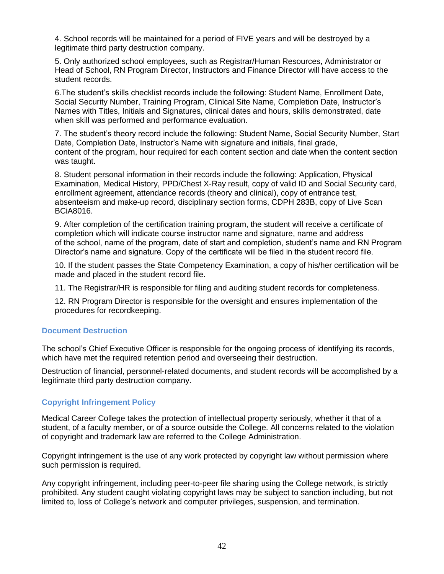4. School records will be maintained for a period of FIVE years and will be destroyed by a legitimate third party destruction company.

5. Only authorized school employees, such as Registrar/Human Resources, Administrator or Head of School, RN Program Director, Instructors and Finance Director will have access to the student records.

6.The student's skills checklist records include the following: Student Name, Enrollment Date, Social Security Number, Training Program, Clinical Site Name, Completion Date, Instructor's Names with Titles, Initials and Signatures, clinical dates and hours, skills demonstrated, date when skill was performed and performance evaluation.

7. The student's theory record include the following: Student Name, Social Security Number, Start Date, Completion Date, Instructor's Name with signature and initials, final grade, content of the program, hour required for each content section and date when the content section was taught.

8. Student personal information in their records include the following: Application, Physical Examination, Medical History, PPD/Chest X-Ray result, copy of valid ID and Social Security card, enrollment agreement, attendance records (theory and clinical), copy of entrance test, absenteeism and make-up record, disciplinary section forms, CDPH 283B, copy of Live Scan BCiA8016.

9. After completion of the certification training program, the student will receive a certificate of completion which will indicate course instructor name and signature, name and address of the school, name of the program, date of start and completion, student's name and RN Program Director's name and signature. Copy of the certificate will be filed in the student record file.

10. If the student passes the State Competency Examination, a copy of his/her certification will be made and placed in the student record file.

11. The Registrar/HR is responsible for filing and auditing student records for completeness.

12. RN Program Director is responsible for the oversight and ensures implementation of the procedures for recordkeeping.

#### **Document Destruction**

The school's Chief Executive Officer is responsible for the ongoing process of identifying its records, which have met the required retention period and overseeing their destruction.

Destruction of financial, personnel-related documents, and student records will be accomplished by a legitimate third party destruction company.

# **Copyright Infringement Policy**

Medical Career College takes the protection of intellectual property seriously, whether it that of a student, of a faculty member, or of a source outside the College. All concerns related to the violation of copyright and trademark law are referred to the College Administration.

Copyright infringement is the use of any work protected by copyright law without permission where such permission is required.

Any copyright infringement, including peer-to-peer file sharing using the College network, is strictly prohibited. Any student caught violating copyright laws may be subject to sanction including, but not limited to, loss of College's network and computer privileges, suspension, and termination.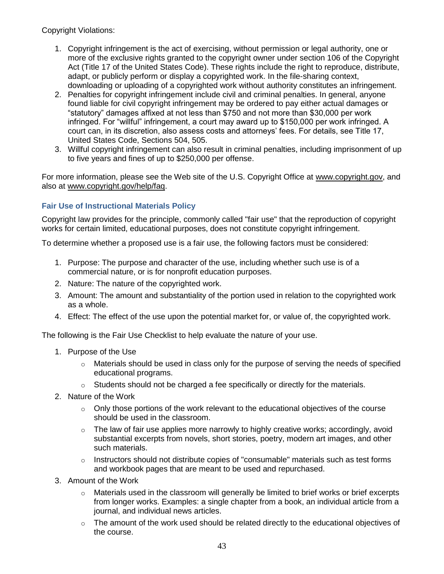Copyright Violations:

- 1. Copyright infringement is the act of exercising, without permission or legal authority, one or more of the exclusive rights granted to the copyright owner under section 106 of the Copyright Act (Title 17 of the United States Code). These rights include the right to reproduce, distribute, adapt, or publicly perform or display a copyrighted work. In the file-sharing context, downloading or uploading of a copyrighted work without authority constitutes an infringement.
- 2. Penalties for copyright infringement include civil and criminal penalties. In general, anyone found liable for civil copyright infringement may be ordered to pay either actual damages or "statutory" damages affixed at not less than \$750 and not more than \$30,000 per work infringed. For "willful" infringement, a court may award up to \$150,000 per work infringed. A court can, in its discretion, also assess costs and attorneys' fees. For details, see Title 17, United States Code, Sections 504, 505.
- 3. Willful copyright infringement can also result in criminal penalties, including imprisonment of up to five years and fines of up to \$250,000 per offense.

For more information, please see the Web site of the U.S. Copyright Office at [www.copyright.gov,](http://www.copyright.gov/) and also at [www.copyright.gov/help/faq.](http://www.copyright.gov/help/faq)

# **Fair Use of Instructional Materials Policy**

Copyright law provides for the principle, commonly called "fair use" that the reproduction of copyright works for certain limited, educational purposes, does not constitute copyright infringement.

To determine whether a proposed use is a fair use, the following factors must be considered:

- 1. Purpose: The purpose and character of the use, including whether such use is of a commercial nature, or is for nonprofit education purposes.
- 2. Nature: The nature of the copyrighted work.
- 3. Amount: The amount and substantiality of the portion used in relation to the copyrighted work as a whole.
- 4. Effect: The effect of the use upon the potential market for, or value of, the copyrighted work.

The following is the Fair Use Checklist to help evaluate the nature of your use.

- 1. Purpose of the Use
	- $\circ$  Materials should be used in class only for the purpose of serving the needs of specified educational programs.
	- $\circ$  Students should not be charged a fee specifically or directly for the materials.
- 2. Nature of the Work
	- $\circ$  Only those portions of the work relevant to the educational objectives of the course should be used in the classroom.
	- $\circ$  The law of fair use applies more narrowly to highly creative works; accordingly, avoid substantial excerpts from novels, short stories, poetry, modern art images, and other such materials.
	- $\circ$  Instructors should not distribute copies of "consumable" materials such as test forms and workbook pages that are meant to be used and repurchased.
- 3. Amount of the Work
	- $\circ$  Materials used in the classroom will generally be limited to brief works or brief excerpts from longer works. Examples: a single chapter from a book, an individual article from a journal, and individual news articles.
	- $\circ$  The amount of the work used should be related directly to the educational objectives of the course.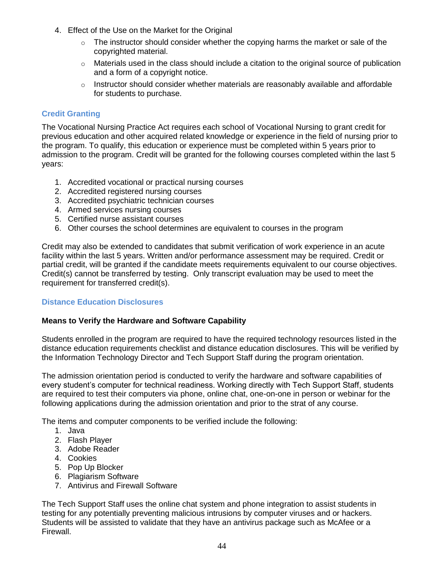- 4. Effect of the Use on the Market for the Original
	- $\circ$  The instructor should consider whether the copying harms the market or sale of the copyrighted material.
	- $\circ$  Materials used in the class should include a citation to the original source of publication and a form of a copyright notice.
	- $\circ$  Instructor should consider whether materials are reasonably available and affordable for students to purchase.

# **Credit Granting**

The Vocational Nursing Practice Act requires each school of Vocational Nursing to grant credit for previous education and other acquired related knowledge or experience in the field of nursing prior to the program. To qualify, this education or experience must be completed within 5 years prior to admission to the program. Credit will be granted for the following courses completed within the last 5 years:

- 1. Accredited vocational or practical nursing courses
- 2. Accredited registered nursing courses
- 3. Accredited psychiatric technician courses
- 4. Armed services nursing courses
- 5. Certified nurse assistant courses
- 6. Other courses the school determines are equivalent to courses in the program

Credit may also be extended to candidates that submit verification of work experience in an acute facility within the last 5 years. Written and/or performance assessment may be required. Credit or partial credit, will be granted if the candidate meets requirements equivalent to our course objectives. Credit(s) cannot be transferred by testing. Only transcript evaluation may be used to meet the requirement for transferred credit(s).

#### **Distance Education Disclosures**

#### **Means to Verify the Hardware and Software Capability**

Students enrolled in the program are required to have the required technology resources listed in the distance education requirements checklist and distance education disclosures. This will be verified by the Information Technology Director and Tech Support Staff during the program orientation.

The admission orientation period is conducted to verify the hardware and software capabilities of every student's computer for technical readiness. Working directly with Tech Support Staff, students are required to test their computers via phone, online chat, one-on-one in person or webinar for the following applications during the admission orientation and prior to the strat of any course.

The items and computer components to be verified include the following:

- 1. Java
- 2. Flash Player
- 3. Adobe Reader
- 4. Cookies
- 5. Pop Up Blocker
- 6. Plagiarism Software
- 7. Antivirus and Firewall Software

The Tech Support Staff uses the online chat system and phone integration to assist students in testing for any potentially preventing malicious intrusions by computer viruses and or hackers. Students will be assisted to validate that they have an antivirus package such as McAfee or a Firewall.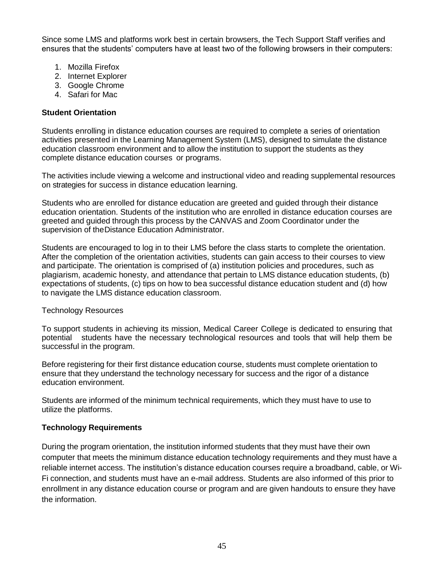Since some LMS and platforms work best in certain browsers, the Tech Support Staff verifies and ensures that the students' computers have at least two of the following browsers in their computers:

- 1. Mozilla Firefox
- 2. Internet Explorer
- 3. Google Chrome
- 4. Safari for Mac

#### **Student Orientation**

Students enrolling in distance education courses are required to complete a series of orientation activities presented in the Learning Management System (LMS), designed to simulate the distance education classroom environment and to allow the institution to support the students as they complete distance education courses or programs.

The activities include viewing a welcome and instructional video and reading supplemental resources on strategies for success in distance education learning.

Students who are enrolled for distance education are greeted and guided through their distance education orientation. Students of the institution who are enrolled in distance education courses are greeted and guided through this process by the CANVAS and Zoom Coordinator under the supervision of theDistance Education Administrator.

Students are encouraged to log in to their LMS before the class starts to complete the orientation. After the completion of the orientation activities, students can gain access to their courses to view and participate. The orientation is comprised of (a) institution policies and procedures, such as plagiarism, academic honesty, and attendance that pertain to LMS distance education students, (b) expectations of students, (c) tips on how to bea successful distance education student and (d) how to navigate the LMS distance education classroom.

#### Technology Resources

To support students in achieving its mission, Medical Career College is dedicated to ensuring that potential students have the necessary technological resources and tools that will help them be successful in the program.

Before registering for their first distance education course, students must complete orientation to ensure that they understand the technology necessary for success and the rigor of a distance education environment.

Students are informed of the minimum technical requirements, which they must have to use to utilize the platforms.

#### **Technology Requirements**

During the program orientation, the institution informed students that they must have their own computer that meets the minimum distance education technology requirements and they must have a reliable internet access. The institution's distance education courses require a broadband, cable, or Wi-Fi connection, and students must have an e-mail address. Students are also informed of this prior to enrollment in any distance education course or program and are given handouts to ensure they have the information.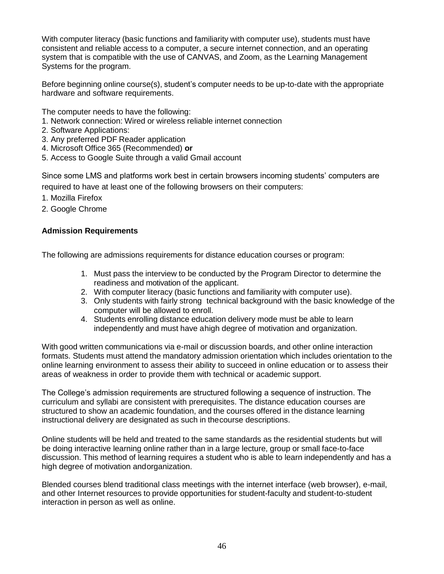With computer literacy (basic functions and familiarity with computer use), students must have consistent and reliable access to a computer, a secure internet connection, and an operating system that is compatible with the use of CANVAS, and Zoom, as the Learning Management Systems for the program.

Before beginning online course(s), student's computer needs to be up-to-date with the appropriate hardware and software requirements.

The computer needs to have the following:

- 1. Network connection: Wired or wireless reliable internet connection
- 2. Software Applications:
- 3. Any preferred PDF Reader application
- 4. Microsoft Office 365 (Recommended) **or**
- 5. Access to Google Suite through a valid Gmail account

Since some LMS and platforms work best in certain browsers incoming students' computers are required to have at least one of the following browsers on their computers:

- 1. Mozilla Firefox
- 2. Google Chrome

#### **Admission Requirements**

The following are admissions requirements for distance education courses or program:

- 1. Must pass the interview to be conducted by the Program Director to determine the readiness and motivation of the applicant.
- 2. With computer literacy (basic functions and familiarity with computer use).
- 3. Only students with fairly strong technical background with the basic knowledge of the computer will be allowed to enroll.
- 4. Students enrolling distance education delivery mode must be able to learn independently and must have ahigh degree of motivation and organization.

With good written communications via e-mail or discussion boards, and other online interaction formats. Students must attend the mandatory admission orientation which includes orientation to the online learning environment to assess their ability to succeed in online education or to assess their areas of weakness in order to provide them with technical or academic support.

The College's admission requirements are structured following a sequence of instruction. The curriculum and syllabi are consistent with prerequisites. The distance education courses are structured to show an academic foundation, and the courses offered in the distance learning instructional delivery are designated as such in thecourse descriptions.

Online students will be held and treated to the same standards as the residential students but will be doing interactive learning online rather than in a large lecture, group or small face-to-face discussion. This method of learning requires a student who is able to learn independently and has a high degree of motivation andorganization.

Blended courses blend traditional class meetings with the internet interface (web browser), e-mail, and other Internet resources to provide opportunities for student-faculty and student-to-student interaction in person as well as online.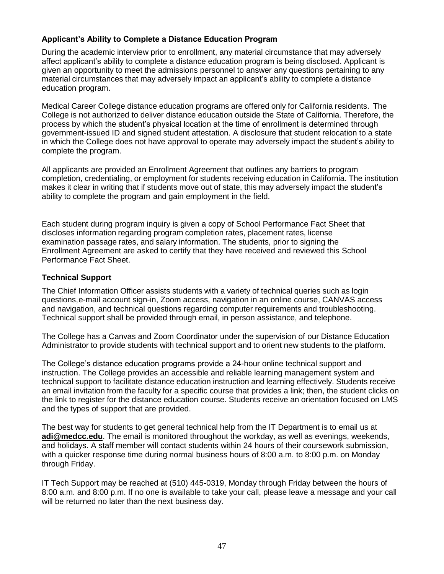# **Applicant's Ability to Complete a Distance Education Program**

During the academic interview prior to enrollment, any material circumstance that may adversely affect applicant's ability to complete a distance education program is being disclosed. Applicant is given an opportunity to meet the admissions personnel to answer any questions pertaining to any material circumstances that may adversely impact an applicant's ability to complete a distance education program.

Medical Career College distance education programs are offered only for California residents. The College is not authorized to deliver distance education outside the State of California. Therefore, the process by which the student's physical location at the time of enrollment is determined through government-issued ID and signed student attestation. A disclosure that student relocation to a state in which the College does not have approval to operate may adversely impact the student's ability to complete the program.

All applicants are provided an Enrollment Agreement that outlines any barriers to program completion, credentialing, or employment for students receiving education in California. The institution makes it clear in writing that if students move out of state, this may adversely impact the student's ability to complete the program and gain employment in the field.

Each student during program inquiry is given a copy of School Performance Fact Sheet that discloses information regarding program completion rates, placement rates, license examination passage rates, and salary information. The students, prior to signing the Enrollment Agreement are asked to certify that they have received and reviewed this School Performance Fact Sheet.

#### **Technical Support**

The Chief Information Officer assists students with a variety of technical queries such as login questions,e-mail account sign-in, Zoom access, navigation in an online course, CANVAS access and navigation, and technical questions regarding computer requirements and troubleshooting. Technical support shall be provided through email, in person assistance, and telephone.

The College has a Canvas and Zoom Coordinator under the supervision of our Distance Education Administrator to provide students with technical support and to orient new students to the platform.

The College's distance education programs provide a 24-hour online technical support and instruction. The College provides an accessible and reliable learning management system and technical support to facilitate distance education instruction and learning effectively. Students receive an email invitation from the faculty for a specific course that provides a link; then, the student clicks on the link to register for the distance education course. Students receive an orientation focused on LMS and the types of support that are provided.

The best way for students to get general technical help from the IT Department is to email us at **[adi@medcc.edu](mailto:adi@medcc.edu)**. The email is monitored throughout the workday, as well as evenings, weekends, and holidays. A staff member will contact students within 24 hours of their coursework submission, with a quicker response time during normal business hours of 8:00 a.m. to 8:00 p.m. on Monday through Friday.

IT Tech Support may be reached at (510) 445-0319, Monday through Friday between the hours of 8:00 a.m. and 8:00 p.m. If no one is available to take your call, please leave a message and your call will be returned no later than the next business day.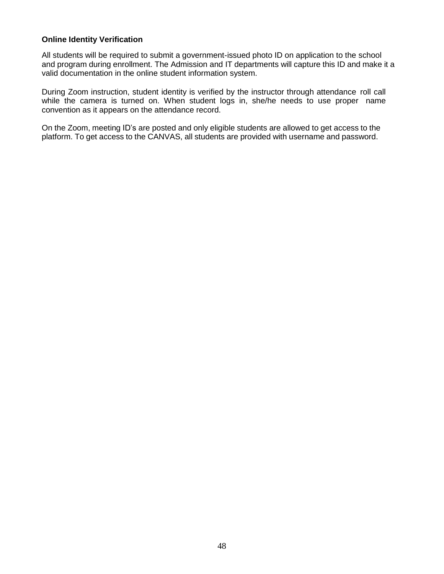#### **Online Identity Verification**

All students will be required to submit a government-issued photo ID on application to the school and program during enrollment. The Admission and IT departments will capture this ID and make it a valid documentation in the online student information system.

During Zoom instruction, student identity is verified by the instructor through attendance roll call while the camera is turned on. When student logs in, she/he needs to use proper name convention as it appears on the attendance record.

On the Zoom, meeting ID's are posted and only eligible students are allowed to get access to the platform. To get access to the CANVAS, all students are provided with username and password.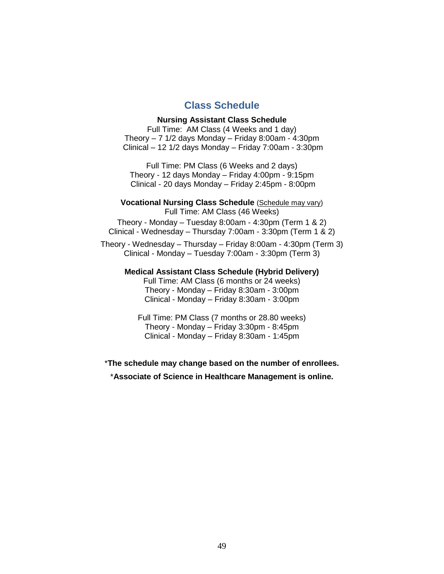# **Class Schedule**

#### **Nursing Assistant Class Schedule**

<span id="page-49-0"></span>Full Time: AM Class (4 Weeks and 1 day) Theory  $-7$  1/2 days Monday  $-$  Friday 8:00am - 4:30pm Clinical – 12 1/2 days Monday – Friday 7:00am - 3:30pm

Full Time: PM Class (6 Weeks and 2 days) Theory - 12 days Monday – Friday 4:00pm - 9:15pm Clinical - 20 days Monday – Friday 2:45pm - 8:00pm

**Vocational Nursing Class Schedule** (Schedule may vary) Full Time: AM Class (46 Weeks)

Theory - Monday – Tuesday 8:00am - 4:30pm (Term 1 & 2) Clinical - Wednesday – Thursday 7:00am - 3:30pm (Term 1 & 2)

Theory - Wednesday – Thursday – Friday 8:00am - 4:30pm (Term 3) Clinical - Monday – Tuesday 7:00am - 3:30pm (Term 3)

#### **Medical Assistant Class Schedule (Hybrid Delivery)**

Full Time: AM Class (6 months or 24 weeks) Theory - Monday – Friday 8:30am - 3:00pm Clinical - Monday – Friday 8:30am - 3:00pm

Full Time: PM Class (7 months or 28.80 weeks) Theory - Monday – Friday 3:30pm - 8:45pm Clinical - Monday – Friday 8:30am - 1:45pm

\***The schedule may change based on the number of enrollees.**

<span id="page-49-1"></span>\***Associate of Science in Healthcare Management is online.**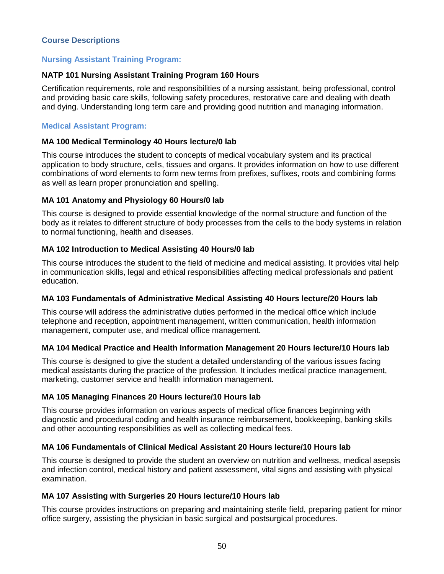#### **Course Descriptions**

#### **Nursing Assistant Training Program:**

# **NATP 101 Nursing Assistant Training Program 160 Hours**

Certification requirements, role and responsibilities of a nursing assistant, being professional, control and providing basic care skills, following safety procedures, restorative care and dealing with death and dying. Understanding long term care and providing good nutrition and managing information.

#### **Medical Assistant Program:**

#### **MA 100 Medical Terminology 40 Hours lecture/0 lab**

This course introduces the student to concepts of medical vocabulary system and its practical application to body structure, cells, tissues and organs. It provides information on how to use different combinations of word elements to form new terms from prefixes, suffixes, roots and combining forms as well as learn proper pronunciation and spelling.

#### **MA 101 Anatomy and Physiology 60 Hours/0 lab**

This course is designed to provide essential knowledge of the normal structure and function of the body as it relates to different structure of body processes from the cells to the body systems in relation to normal functioning, health and diseases.

#### **MA 102 Introduction to Medical Assisting 40 Hours/0 lab**

This course introduces the student to the field of medicine and medical assisting. It provides vital help in communication skills, legal and ethical responsibilities affecting medical professionals and patient education.

#### **MA 103 Fundamentals of Administrative Medical Assisting 40 Hours lecture/20 Hours lab**

This course will address the administrative duties performed in the medical office which include telephone and reception, appointment management, written communication, health information management, computer use, and medical office management.

#### **MA 104 Medical Practice and Health Information Management 20 Hours lecture/10 Hours lab**

This course is designed to give the student a detailed understanding of the various issues facing medical assistants during the practice of the profession. It includes medical practice management, marketing, customer service and health information management.

#### **MA 105 Managing Finances 20 Hours lecture/10 Hours lab**

This course provides information on various aspects of medical office finances beginning with diagnostic and procedural coding and health insurance reimbursement, bookkeeping, banking skills and other accounting responsibilities as well as collecting medical fees.

#### **MA 106 Fundamentals of Clinical Medical Assistant 20 Hours lecture/10 Hours lab**

This course is designed to provide the student an overview on nutrition and wellness, medical asepsis and infection control, medical history and patient assessment, vital signs and assisting with physical examination.

#### **MA 107 Assisting with Surgeries 20 Hours lecture/10 Hours lab**

This course provides instructions on preparing and maintaining sterile field, preparing patient for minor office surgery, assisting the physician in basic surgical and postsurgical procedures.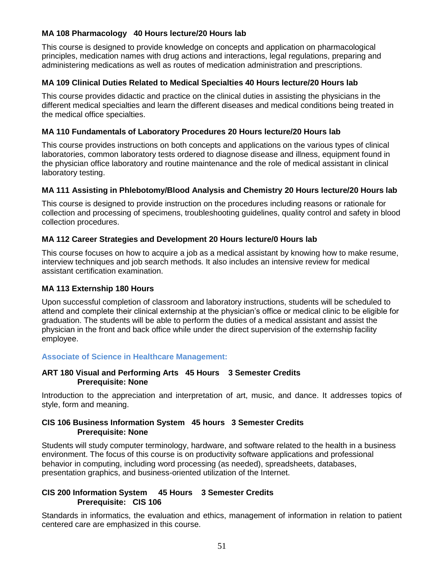# **MA 108 Pharmacology 40 Hours lecture/20 Hours lab**

This course is designed to provide knowledge on concepts and application on pharmacological principles, medication names with drug actions and interactions, legal regulations, preparing and administering medications as well as routes of medication administration and prescriptions.

#### **MA 109 Clinical Duties Related to Medical Specialties 40 Hours lecture/20 Hours lab**

This course provides didactic and practice on the clinical duties in assisting the physicians in the different medical specialties and learn the different diseases and medical conditions being treated in the medical office specialties.

#### **MA 110 Fundamentals of Laboratory Procedures 20 Hours lecture/20 Hours lab**

This course provides instructions on both concepts and applications on the various types of clinical laboratories, common laboratory tests ordered to diagnose disease and illness, equipment found in the physician office laboratory and routine maintenance and the role of medical assistant in clinical laboratory testing.

#### **MA 111 Assisting in Phlebotomy/Blood Analysis and Chemistry 20 Hours lecture/20 Hours lab**

This course is designed to provide instruction on the procedures including reasons or rationale for collection and processing of specimens, troubleshooting guidelines, quality control and safety in blood collection procedures.

#### **MA 112 Career Strategies and Development 20 Hours lecture/0 Hours lab**

This course focuses on how to acquire a job as a medical assistant by knowing how to make resume, interview techniques and job search methods. It also includes an intensive review for medical assistant certification examination.

#### **MA 113 Externship 180 Hours**

Upon successful completion of classroom and laboratory instructions, students will be scheduled to attend and complete their clinical externship at the physician's office or medical clinic to be eligible for graduation. The students will be able to perform the duties of a medical assistant and assist the physician in the front and back office while under the direct supervision of the externship facility employee.

#### **Associate of Science in Healthcare Management:**

#### **ART 180 Visual and Performing Arts 45 Hours 3 Semester Credits Prerequisite: None**

Introduction to the appreciation and interpretation of art, music, and dance. It addresses topics of style, form and meaning.

#### **CIS 106 Business Information System 45 hours 3 Semester Credits Prerequisite: None**

Students will study computer terminology, hardware, and software related to the health in a business environment. The focus of this course is on productivity software applications and professional behavior in computing, including word processing (as needed), spreadsheets, databases, presentation graphics, and business-oriented utilization of the Internet.

#### <span id="page-51-0"></span>**CIS 200 Information System 45 Hours 3 Semester Credits Prerequisite: CIS 106**

Standards in informatics, the evaluation and ethics, management of information in relation to patient centered care are emphasized in this course.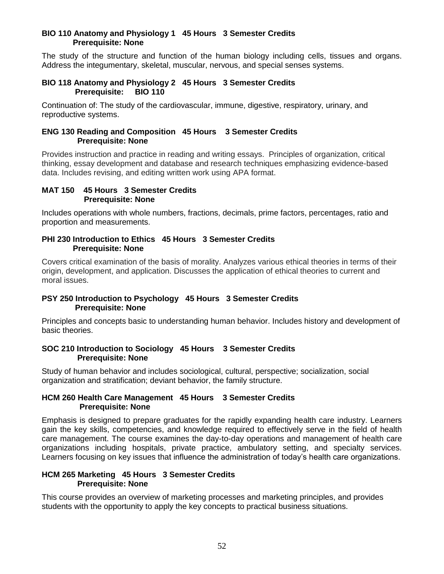#### **BIO 110 Anatomy and Physiology 1 45 Hours 3 Semester Credits Prerequisite: None**

The study of the structure and function of the human biology including cells, tissues and organs. Address the integumentary, skeletal, muscular, nervous, and special senses systems.

#### **BIO 118 Anatomy and Physiology 2 45 Hours 3 Semester Credits Prerequisite: BIO 110**

Continuation of: The study of the cardiovascular, immune, digestive, respiratory, urinary, and reproductive systems.

#### **ENG 130 Reading and Composition 45 Hours 3 Semester Credits Prerequisite: None**

Provides instruction and practice in reading and writing essays. Principles of organization, critical thinking, essay development and database and research techniques emphasizing evidence-based data. Includes revising, and editing written work using APA format.

#### **MAT 150 45 Hours 3 Semester Credits Prerequisite: None**

Includes operations with whole numbers, fractions, decimals, prime factors, percentages, ratio and proportion and measurements.

#### **PHI 230 Introduction to Ethics 45 Hours 3 Semester Credits Prerequisite: None**

Covers critical examination of the basis of morality. Analyzes various ethical theories in terms of their origin, development, and application. Discusses the application of ethical theories to current and moral issues.

# **PSY 250 Introduction to Psychology 45 Hours 3 Semester Credits Prerequisite: None**

Principles and concepts basic to understanding human behavior. Includes history and development of basic theories.

#### **SOC 210 Introduction to Sociology 45 Hours 3 Semester Credits Prerequisite: None**

Study of human behavior and includes sociological, cultural, perspective; socialization, social organization and stratification; deviant behavior, the family structure.

#### **HCM 260 Health Care Management 45 Hours 3 Semester Credits Prerequisite: None**

Emphasis is designed to prepare graduates for the rapidly expanding health care industry. Learners gain the key skills, competencies, and knowledge required to effectively serve in the field of health care management. The course examines the day-to-day operations and management of health care organizations including hospitals, private practice, ambulatory setting, and specialty services. Learners focusing on key issues that influence the administration of today's health care organizations.

# **HCM 265 Marketing 45 Hours 3 Semester Credits Prerequisite: None**

This course provides an overview of marketing processes and marketing principles, and provides students with the opportunity to apply the key concepts to practical business situations.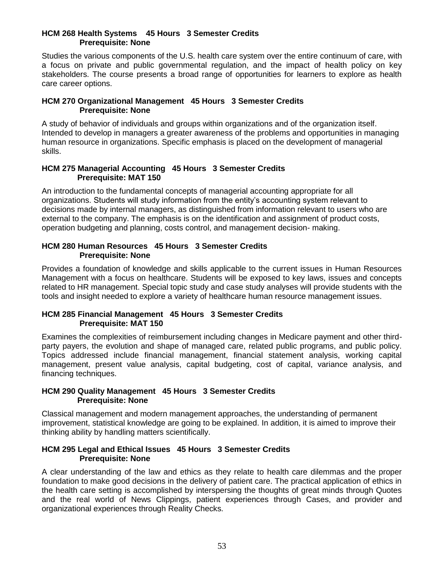#### **HCM 268 Health Systems 45 Hours 3 Semester Credits Prerequisite: None**

Studies the various components of the U.S. health care system over the entire continuum of care, with a focus on private and public governmental regulation, and the impact of health policy on key stakeholders. The course presents a broad range of opportunities for learners to explore as health care career options.

#### **HCM 270 Organizational Management 45 Hours 3 Semester Credits Prerequisite: None**

A study of behavior of individuals and groups within organizations and of the organization itself. Intended to develop in managers a greater awareness of the problems and opportunities in managing human resource in organizations. Specific emphasis is placed on the development of managerial skills.

#### **HCM 275 Managerial Accounting 45 Hours 3 Semester Credits Prerequisite: MAT 150**

An introduction to the fundamental concepts of managerial accounting appropriate for all organizations. Students will study information from the entity's accounting system relevant to decisions made by internal managers, as distinguished from information relevant to users who are external to the company. The emphasis is on the identification and assignment of product costs, operation budgeting and planning, costs control, and management decision- making.

#### **HCM 280 Human Resources 45 Hours 3 Semester Credits Prerequisite: None**

Provides a foundation of knowledge and skills applicable to the current issues in Human Resources Management with a focus on healthcare. Students will be exposed to key laws, issues and concepts related to HR management. Special topic study and case study analyses will provide students with the tools and insight needed to explore a variety of healthcare human resource management issues.

#### **HCM 285 Financial Management 45 Hours 3 Semester Credits Prerequisite: MAT 150**

Examines the complexities of reimbursement including changes in Medicare payment and other thirdparty payers, the evolution and shape of managed care, related public programs, and public policy. Topics addressed include financial management, financial statement analysis, working capital management, present value analysis, capital budgeting, cost of capital, variance analysis, and financing techniques.

#### **HCM 290 Quality Management 45 Hours 3 Semester Credits Prerequisite: None**

Classical management and modern management approaches, the understanding of permanent improvement, statistical knowledge are going to be explained. In addition, it is aimed to improve their thinking ability by handling matters scientifically.

#### **HCM 295 Legal and Ethical Issues 45 Hours 3 Semester Credits Prerequisite: None**

A clear understanding of the law and ethics as they relate to health care dilemmas and the proper foundation to make good decisions in the delivery of patient care. The practical application of ethics in the health care setting is accomplished by interspersing the thoughts of great minds through Quotes and the real world of News Clippings, patient experiences through Cases, and provider and organizational experiences through Reality Checks.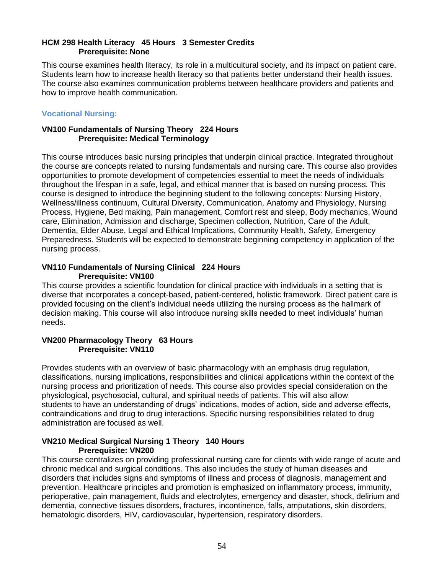#### **HCM 298 Health Literacy 45 Hours 3 Semester Credits Prerequisite: None**

This course examines health literacy, its role in a multicultural society, and its impact on patient care. Students learn how to increase health literacy so that patients better understand their health issues. The course also examines communication problems between healthcare providers and patients and how to improve health communication.

# **Vocational Nursing:**

#### **VN100 Fundamentals of Nursing Theory 224 Hours Prerequisite: Medical Terminology**

This course introduces basic nursing principles that underpin clinical practice. Integrated throughout the course are concepts related to nursing fundamentals and nursing care. This course also provides opportunities to promote development of competencies essential to meet the needs of individuals throughout the lifespan in a safe, legal, and ethical manner that is based on nursing process. This course is designed to introduce the beginning student to the following concepts: Nursing History, Wellness/illness continuum, Cultural Diversity, Communication, Anatomy and Physiology, Nursing Process, Hygiene, Bed making, Pain management, Comfort rest and sleep, Body mechanics, Wound care, Elimination, Admission and discharge, Specimen collection, Nutrition, Care of the Adult, Dementia, Elder Abuse, Legal and Ethical Implications, Community Health, Safety, Emergency Preparedness. Students will be expected to demonstrate beginning competency in application of the nursing process.

#### **VN110 Fundamentals of Nursing Clinical 224 Hours Prerequisite: VN100**

This course provides a scientific foundation for clinical practice with individuals in a setting that is diverse that incorporates a concept-based, patient-centered, holistic framework. Direct patient care is provided focusing on the client's individual needs utilizing the nursing process as the hallmark of decision making. This course will also introduce nursing skills needed to meet individuals' human needs.

#### **VN200 Pharmacology Theory 63 Hours Prerequisite: VN110**

Provides students with an overview of basic pharmacology with an emphasis drug regulation, classifications, nursing implications, responsibilities and clinical applications within the context of the nursing process and prioritization of needs. This course also provides special consideration on the physiological, psychosocial, cultural, and spiritual needs of patients. This will also allow students to have an understanding of drugs' indications, modes of action, side and adverse effects, contraindications and drug to drug interactions. Specific nursing responsibilities related to drug administration are focused as well.

#### **VN210 Medical Surgical Nursing 1 Theory 140 Hours Prerequisite: VN200**

This course centralizes on providing professional nursing care for clients with wide range of acute and chronic medical and surgical conditions. This also includes the study of human diseases and disorders that includes signs and symptoms of illness and process of diagnosis, management and prevention. Healthcare principles and promotion is emphasized on inflammatory process, immunity, perioperative, pain management, fluids and electrolytes, emergency and disaster, shock, delirium and dementia, connective tissues disorders, fractures, incontinence, falls, amputations, skin disorders, hematologic disorders, HIV, cardiovascular, hypertension, respiratory disorders.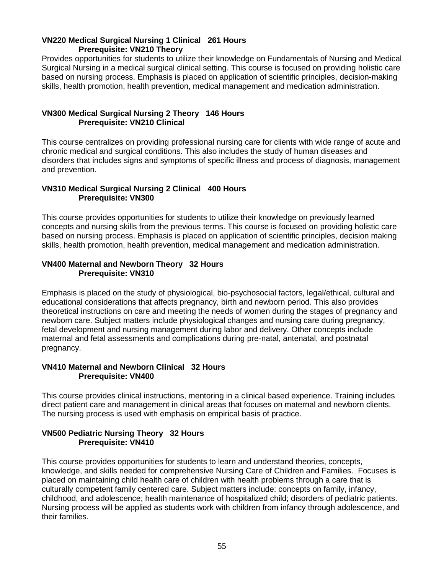#### **VN220 Medical Surgical Nursing 1 Clinical 261 Hours Prerequisite: VN210 Theory**

Provides opportunities for students to utilize their knowledge on Fundamentals of Nursing and Medical Surgical Nursing in a medical surgical clinical setting. This course is focused on providing holistic care based on nursing process. Emphasis is placed on application of scientific principles, decision-making skills, health promotion, health prevention, medical management and medication administration.

#### **VN300 Medical Surgical Nursing 2 Theory 146 Hours Prerequisite: VN210 Clinical**

This course centralizes on providing professional nursing care for clients with wide range of acute and chronic medical and surgical conditions. This also includes the study of human diseases and disorders that includes signs and symptoms of specific illness and process of diagnosis, management and prevention.

#### **VN310 Medical Surgical Nursing 2 Clinical 400 Hours Prerequisite: VN300**

This course provides opportunities for students to utilize their knowledge on previously learned concepts and nursing skills from the previous terms. This course is focused on providing holistic care based on nursing process. Emphasis is placed on application of scientific principles, decision making skills, health promotion, health prevention, medical management and medication administration.

#### **VN400 Maternal and Newborn Theory 32 Hours Prerequisite: VN310**

Emphasis is placed on the study of physiological, bio-psychosocial factors, legal/ethical, cultural and educational considerations that affects pregnancy, birth and newborn period. This also provides theoretical instructions on care and meeting the needs of women during the stages of pregnancy and newborn care. Subject matters include physiological changes and nursing care during pregnancy, fetal development and nursing management during labor and delivery. Other concepts include maternal and fetal assessments and complications during pre-natal, antenatal, and postnatal pregnancy.

#### **VN410 Maternal and Newborn Clinical 32 Hours Prerequisite: VN400**

This course provides clinical instructions, mentoring in a clinical based experience. Training includes direct patient care and management in clinical areas that focuses on maternal and newborn clients. The nursing process is used with emphasis on empirical basis of practice.

# **VN500 Pediatric Nursing Theory 32 Hours Prerequisite: VN410**

This course provides opportunities for students to learn and understand theories, concepts, knowledge, and skills needed for comprehensive Nursing Care of Children and Families. Focuses is placed on maintaining child health care of children with health problems through a care that is culturally competent family centered care. Subject matters include: concepts on family, infancy, childhood, and adolescence; health maintenance of hospitalized child; disorders of pediatric patients. Nursing process will be applied as students work with children from infancy through adolescence, and their families.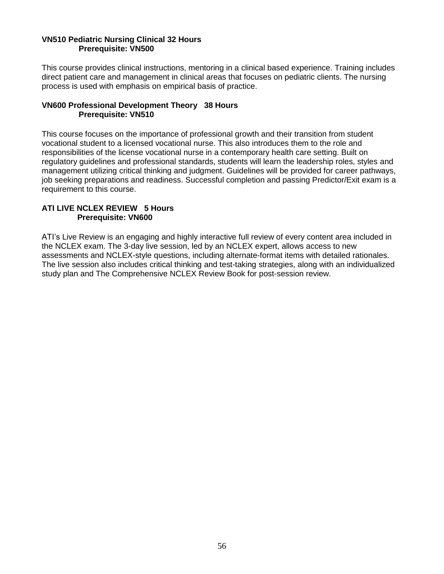#### **VN510 Pediatric Nursing Clinical 32 Hours Prerequisite: VN500**

This course provides clinical instructions, mentoring in a clinical based experience. Training includes direct patient care and management in clinical areas that focuses on pediatric clients. The nursing process is used with emphasis on empirical basis of practice.

#### **VN600 Professional Development Theory 38 Hours Prerequisite: VN510**

This course focuses on the importance of professional growth and their transition from student vocational student to a licensed vocational nurse. This also introduces them to the role and responsibilities of the license vocational nurse in a contemporary health care setting. Built on regulatory guidelines and professional standards, students will learn the leadership roles, styles and management utilizing critical thinking and judgment. Guidelines will be provided for career pathways, job seeking preparations and readiness. Successful completion and passing Predictor/Exit exam is a requirement to this course.

# **ATI LIVE NCLEX REVIEW 5 Hours Prerequisite: VN600**

ATI's Live Review is an engaging and highly interactive full review of every content area included in the NCLEX exam. The 3-day live session, led by an NCLEX expert, allows access to new assessments and NCLEX-style questions, including alternate-format items with detailed rationales. The live session also includes critical thinking and test-taking strategies, along with an individualized study plan and The Comprehensive NCLEX Review Book for post-session review.